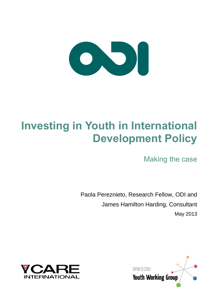

# **Investing in Youth in International Development Policy**

Making the case

Paola Pereznieto, Research Fellow, ODI and James Hamilton Harding, Consultant May 2013



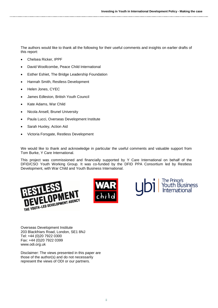The authors would like to thank all the following for their useful comments and insights on earlier drafts of this report:

- Chelsea Ricker, IPPF
- David Woollcombe, Peace Child International
- Esther Eshiet, The Bridge Leadership Foundation
- Hannah Smith, Restless Development
- Helen Jones, CYEC
- James Edleston, British Youth Council
- Kate Adams, War Child
- Nicola Ansell, Brunel University
- Paula Lucci, Overseas Development Institute
- Sarah Huxley, Action Aid
- Victoria Forsgate, Restless Development

We would like to thank and acknowledge in particular the useful comments and valuable support from Tom Burke, Y Care International.

This project was commissioned and financially supported by Y Care International on behalf of the DFID/CSO Youth Working Group. It was co-funded by the DFID PPA Consortium led by Restless Development, with War Child and Youth Business International.





The Prince's<br>Youth Business<br>International

Overseas Development Institute 203 Blackfriars Road, London, SE1 8NJ Tel: +44 (0)20 7922 0300 Fax: +44 (0)20 7922 0399 www.odi.org.uk

Disclaimer: The views presented in this paper are those of the author(s) and do not necessarily represent the views of ODI or our partners.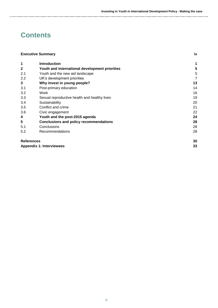## **Contents**

| <b>Executive Summary</b>        |                                                | iv |
|---------------------------------|------------------------------------------------|----|
| 1                               | <b>Introduction</b>                            | 1  |
| $\mathbf{2}$                    | Youth and international development priorities | 5  |
| 2.1                             | Youth and the new aid landscape                | 5  |
| 2.2                             | UK's development priorities                    | 7  |
| 3                               | Why invest in young people?                    | 13 |
| 3.1                             | Post-primary education                         | 14 |
| 3.2                             | Work                                           | 16 |
| 3.3                             | Sexual reproductive health and healthy lives   | 19 |
| 3.4                             | Sustainability                                 | 20 |
| 3.5                             | Conflict and crime                             | 21 |
| 3.6                             | Civic engagement                               | 22 |
| 4                               | Youth and the post-2015 agenda                 | 24 |
| 5                               | <b>Conclusions and policy recommendations</b>  | 28 |
| 5.1                             | Conclusions                                    | 28 |
| 5.2                             | Recommendations                                | 28 |
| <b>References</b>               |                                                | 30 |
| <b>Appendix 1: Interviewees</b> |                                                | 33 |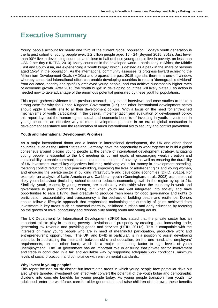## <span id="page-3-0"></span>**Executive Summary**

Young people account for nearly one third of the current global population. Today's youth generation is the largest cohort of young people ever; 1.2 billion people aged 15 ‐ 24 (Beyond 2015, 2013). Just fewer than 90% live in developing countries and close to half of these young people live in poverty, on less than USD 2 per day (UNFPA, 2010). Many countries in the developed world – particularly in Africa, the Middle East and South Asia, are experiencing a 'youth bulge,' which is defined as a peak in the share of persons aged 15-24 in the population. As the international community assesses its progress toward achieving the Millennium Development Goals (MDGs) and prepares the post-2015 agenda, there is a one-off window, whereby concerted international effort can enable developing countries to reap a 'demographic dividend' from educated, healthy and gainfully employed young people, and can achieve substantially higher rates of economic growth. After 2015, the 'youth bulge' in developing countries will likely plateau, so action is needed now to take advantage of the enormous potential generated by these youthful populations.

This report gathers evidence from previous research, key expert interviews and case studies to make a strong case for why the United Kingdom Government (UK) and other international development actors should apply a youth lens to all their development policies. With a focus on the need for entrenched mechanisms of youth participation in the design, implementation and evaluation of development policy, this report lays out the human rights, social and economic benefits of investing in youth. Investment in young people is an effective way to meet development priorities in an era of global contraction in development assistance and the reallocation of much international aid to security and conflict prevention.

### **Youth and International Development Priorities**

As a major international donor and a leader in international development, the UK and other donor countries, such as the United States and Germany, have the opportunity to work together to build a global consensus around placing young people at the centre of international development strategy. Engaging young people is essential to the UK meeting its current goals of encouraging wealth creation and sustainability to enable communities and countries to rise out of poverty, as well as ensuring the durability of UK investment toward key objectives including achieving value for money in development spending, fostering conflict reduction and peace-building, improving the lives of adolescent girls and young women, and engaging the private sector in building infrastructure and developing economies (DFID, 2011b). For example, an analysis of Latin American and Caribbean youth (Cunningham, et al., 2008) estimates that risky youth behaviour (including school dropout) reduces economic growth in the region by up to 2%. Similarly, youth, especially young women, are particularly vulnerable when the economy is weak and governance is poor (Sommers, 2006), but when youth are well integrated into society and have opportunities to earn a living, their creativity to produce fresh ideas for good governance and rights to participation, accountability and transparency is the bedrock of building peace and resilience. Donors should follow a lifecycle approach that emphasizes maintaining the durability of gains achieved from investment in key areas such as maternal mortality, childhood nutrition and early education by focusing on the growth of risks, opportunity and responsibility among youth and young adults.

The UK Department for International Development (DFID) has stated that the private sector has an important role to play in enabling poverty alleviation and prosperity by creating jobs, increasing trade, generating tax revenue and providing goods and services (DFID, 2011c). This is compatible with the interests of many young people who are in need of meaningful participation, productive work and entrepreneurship opportunities. The UK, and DFID in particular, is in a position to assist developing countries in addressing the mismatch between skills and education, on the one hand, and employers' requirements, on the other hand, which is a major contributing factor to high levels of youth unemployment. The UK government has an important role in ensuring that private sector involvement and trade is conducted in a fair and equitable way by supporting adequate work conditions, minimum levels of social protection, and compliance with environmental standards.

#### **Why invest in young people?**

This report focuses on six distinct but interrelated areas in which young people face particular risks but also where targeted investment can effectively convert the potential of the youth bulge and demographic dividend into concrete benefits for young people today. As young people transition from youth into adulthood, enter the workforce, care for older generations and raise children of their own, these benefits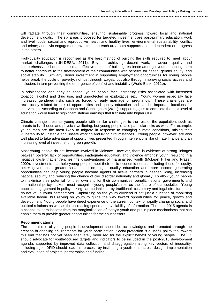will radiate through their communities, ensuring sustainable progress toward local and national development goals. The six areas proposed for targeted investment are post-primary education; work and livelihoods; sexual and reproductive health and healthy lives; environmental sustainability; conflict and crime; and civic engagement. Investment in each area both supports and is dependent on progress in the others.

High-quality education is recognised as the best method of building the skills required to meet labour market challenges (UN-DESA, 2011). Beyond achieving decent work, however, quality and comprehensive education is also an effective means of building resilience amongst youth, enabling them to better contribute to the development of their communities with benefits for health, gender equity, and social stability. Similarly, donor investment in supporting employment opportunities for young people helps break the cycle of poverty, not just through wages, but also through improving social access and inclusion, in turn preventing the emergence of conflict and instability (World Bank, 2012b).

In adolescence and early adulthood, young people face increasing risks associated with increased tobacco, alcohol and drug use, and unprotected or exploitative sex. Young women especially face increased gendered risks such as forced or early marriage or pregnancy. These challenges are reciprocally related to lack of opportunities and quality education and can be important locations for intervention. According to Chabaan and Cunningham (2011), supporting girls to complete the next level of education would lead to significant lifetime earnings that translate into higher GDP.

Climate change presents young people with similar challenges to the rest of the population, such as threats to livelihoods and physical wellbeing, but young people face particular risks as well. For example, young men are the most likely to migrate in response to changing climate conditions, raising their vulnerability to unstable and unsafe working and living circumstances. Young people, however, are also well placed to take advantage of opportunities presented through interventions like climate finance and an increasing level of investment in green growth.

Most young people do not become involved in violence. However, there is evidence of strong linkages between poverty, lack of opportunities, inadequate education, and violence amongst youth, resulting in a negative cycle that entrenches the disadvantages of marginalised youth (McLean Hilker and Fraser, 2009). Investments that help young people meet their socio-economic needs, including those for equity, better governance, greater social cohesion, higher-quality education and more income generating opportunities can help young people become agents of active partners in peacebuilding, increasing national security and reducing the chance of civil disorder nationally and globally. To allow young people to maximise their potential for their own and for their communities' benefit, national governments and international policy makers must recognise young people's role as the future of our societies. Young people's engagement in policymaking can be inhibited by traditional, customary and legal structures that do not value youth perspectives. Capitalising on the youth dividend is not just a question of mobilising available labour, but relying on youth to guide the way toward opportunities for peace, growth and development. Young people have direct experience of the current context of rapidly changing social and political relations as well as the increasing speed and availability of information. The post-2015 agenda is a chance to learn lessons from the marginalisation of today's youth and put in place mechanisms that can enable them to provide greater opportunities for their successors.

#### **Recommendations**

The central role of young people in development should be acknowledged and promoted through the creation of enabling environments for youth participation. Social protection is a useful policy tool toward this end that has not yet been adequately mobilised for the explicit benefit of young people. The UK should advocate for youth-focused targets and indicators to be included in the post-2015 development agenda, supported by improved data collection and disaggregation along key vectors of inequality, including age. DFID should lead this process by instituting a youth lens across design, implementation and evaluation of projects, partnerships and funding.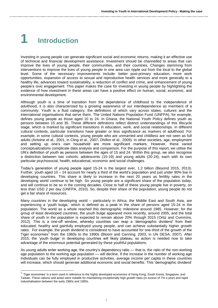# **1 Introduction**

-

Investing in young people can generate significant social and economic returns, making it an effective use of technical and financial development assistance. Investment should be channelled to areas that can improve the lives of young people, their communities, and their countries. Changes stemming from interventions to improve the lives of young people in one area can ripple out from the local to the global level. Some of the necessary improvements include: better post-primary education, more work opportunities, expansion of access to sexual and reproductive health services and more generally to a healthy life, advances toward sustainability, a reduction of conflict and crime, and enhancement of young people's civic engagement. This paper makes the case for investing in young people by highlighting the evidence of how investment in these areas can have a positive effect on human, social, economic, and environmental development.

Although youth is a time of transition from the dependence of childhood to the independence of adulthood, it is also characterized by a growing awareness of our interdependence as members of a community. Youth is a fluid category, the definitions of which vary across states, cultures and the international organisations that serve them. The United Nations Population Fund (UNFPA), for example, defines young people as those aged 10 to 24. In Ghana, the National Youth Policy defines youth as persons between 15 and 35. These different definitions reflect distinct understandings of this lifecycle stage, which is marked by significant transitions in education, work, and social relationships. In different cultural contexts, particular transitions have greater or less significance as markers of adulthood. For example, in some cultural contexts, young people who are unmarried and childless are not seen as full adults (Antoine et al., 2001, in Cling et al., 2007; Dhillon et al., 2009). In other societies, age, employment and setting up one's own household are more significant markers. However, these varied conceptualizations complicate data analysis and comparison. For the purpose of this report, we utilise the UN's definition of youth as persons between the ages of 15 and 24. Within this group, we also recognise a distinction between two cohorts: adolescents (15-19) and young adults (20-24), each with its own particular psychosocial, health, educational, economic and social challenges.

Today's generation of young people aged 15-24 is the largest ever, 1.2 billion (Beyond 2015, 2013). Further, youth aged 10 – 24 account for nearly a third of the world's population and just under 90% live in developing countries. This share is likely to increase in the next 20 years as fertility rates in the developing world continue to be high. So young people are a significant share of the population today, and will continue to be so in the coming decades. Close to half of these young people live in poverty, on less than USD 2 per day (UNFPA, 2010). So, despite their share of the population, young people do not get a fair share of resources.

Many countries in the developing world – particularly in Africa, the Middle East and South Asia, are experiencing a 'youth bulge,' which is defined as a peak in the share of persons aged 15-24 in the population. The world as a whole reached this demographic milestone around 1985. However, for the group of least developed countries, the youth bulge appeared more recently, around 2005, and the total share of youth in the population is expected to remain above 20% through 2015 (Ortiz and Cummins, 2012). This is a one-off window, whereby countries can reap a 'demographic dividend' from their educated, healthy and gainfully employed young people, and can achieve substantially higher growth rates. For example, the youth dividend is considered to have accounted for one-third of the growth of the Tiger economies<sup>1</sup> from the 1960s to the 1990s (Bloom and Canning, 2003, in UN DESA, 2007). After 2015, the 'youth bulge' in developing countries will likely plateau, so action is needed now to take advantage of the enormous potential generated by these youthful populations.

As young adults enter working age, the country's dependency ratio — that is, the ratio of the non-working age population to the working age population — will decline. If the increase in the number of working age individuals can be fully employed in productive activities, average income per capita in these countries will increase, which should generate additional economic and social benefits. This 'demographic dividend'

<sup>&</sup>lt;sup>1</sup> 'Tiger economies' is a term used in reference to the highly developed economies of Hong Kong, South Korea, Singapore, and Taiwan. These nations and areas were notable for maintaining exceptionally high growth rates (in excess of 7% a year) and rapid industrialisation between the early 1960s and 1990s.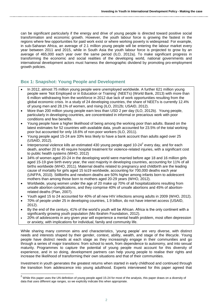can be significant particularly if the energy and drive of young people is directed toward positive social transformation and economic growth. However, the youth labour force is growing the fastest in the regions where few opportunities for paid work exist or where working poverty is widespread. For example, in sub-Saharan Africa, an average of 2.1 million young people will be entering the labour market every year between 2011 and 2015, while in South Asia the youth labour force is projected to grow by an average of 465,000 each year over the same period (ILO, 2012a). To make significant progress in transforming the economic and social realities of the developing world, national governments and international development actors must harness the demographic dividend by promoting pro-employment growth policies.

## **Box 1: Snapshot: Young People and Development**

- In 2012, almost 75 million young people were unemployed worldwide. A further 621 million young people were 'Not Employed or in Education or Training' (NEETs) (World Bank, 2013) with more than 6 million withdrawing from the workforce in 2012 due lack of work opportunities resulting from the global economic crisis. In a study of 24 developing countries, the share of NEETs is currently 12.4% of young men and 28.1% of women, and rising (ILO, 2012b; USAID, 2012).
- More than 200 million young people earn less than USD 2 per day (ILO, 2012b). Young people, particularly in developing countries, are concentrated in informal or precarious work with poor conditions and few benefits.
- Young people have a higher likelihood of being among the working poor than adults. Based on the latest estimates for 52 countries with available data, youth accounted for 23.5% of the total working poor but accounted for only 18.6% of non-poor workers (ILO, 2011).
- Young people aged 15-24 are 33% less likely to have a bank account than adults aged over 25 (USAID, 2012).
- $\bullet$  Interpersonal violence kills an estimated 430 young people aged 10-24<sup>2</sup> every day, and for each death, another 20 to 40 require hospital treatment for violence-related injuries, with a significant cost to public health systems (WHO, 2012)
- 34% of women aged 20-24 in the developing world were married before age 18 and 16 million girls aged 15-19 give birth every year, the vast majority in developing countries, accounting for 11% of all births worldwide (WHO, 2011). Maternal deaths related to pregnancy and childbirth are the leading cause of mortality for girls aged 15 to19 worldwide, accounting for 700,000 deaths each year (UNFPA, 2010). Stillbirths and newborn deaths are 50% higher among infants born to adolescent mothers than among those born to mothers aged 20-29 years (WHO, 2012).
- Worldwide, young women under the age of 20 make up 70% of all hospitalizations resulting from unsafe abortion complications, and they comprise 40% of unsafe abortions and 45% of abortionrelated deaths (Plan, 2007).
- Youth aged 15 to 24 accounted for 40% of all new HIV infections among adults in 2009 (WHO, 2012).
- 70% of people under 25 in developing countries, 1.9 billion, do not have internet access (USAID, 2012).
- By the end of the century, 41% of the world's youth will be African. Africa is the only continent with a significantly growing youth population (Mo Ibrahim Foundation, 2012).
- 20% of adolescents in any given year will experience a mental health problem, most often depression or anxiety, with implications for individual, family and community life.

While sharing many common aims and characteristics, 'young people' are very diverse, with distinct needs and interests shaped by their gender, context, ability, wealth, and stage of the lifecycle. Young people have distinct needs at each stage as they increasingly engage in their communities and go through a series of major transitions: from school to work, from dependence to autonomy, and into sexual maturity. Programmes to capture the potential of young people must account for this diversity of experience, and in so doing, development partners can help young people to realise their rights and increase the likelihood of transforming their own situations and that of their communities.

Investment in youth generates the greatest returns when started in early childhood and continued through the transition from adolescence into young adulthood. Experts interviewed for this paper agreed that

-

 $^2$  While this paper uses the UN definition of young people aged 15-24 for most of the analysis, this paper draws on a diversity of data that uses different age ranges, so we explicitly indicate this when appropriate.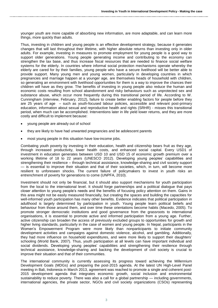younger youth are more capable of absorbing new information, are more adaptable, and can learn more things, more quickly than adults.

Thus, investing in children and young people is an effective development strategy, because it generates changes that will last throughout their lifetime, with higher absolute returns than investing only in older adults. For example, investing in measures to promote employment for young people is a good way to support older generations. Young people generating income and contributing to the economy can strengthen the tax base, and thus increase fiscal resources that are needed to finance social welfare systems for the elderly. In countries where informal social protection mechanisms operate whereby the elderly are cared for by their families, young people who have a secure livelihood will be better able to provide support. Many young men and young women, particularly in developing countries in which pregnancies and marriage happen at a younger age, are themselves heads of household with children, so generating an environment with livelihood opportunities for them is a way to improve the chances their children will have as they grow. The benefits of investing in young people also reduce the human and economic costs resulting from school abandonment and risky behaviours such as unprotected sex and substance abuse, which occur more frequently during this transitional period of life. According to W. Cunningham (interview, February, 2012), failure to create better enabling factors for people before they are 25 years of age – such as youth-focused labour policies, accessible and relevant post-primary education, information about sexual and reproductive health and rights (SRHR) - misses this transitional period, when much can be accomplished. Interventions later in life yield lower returns, and they are more costly and difficult to implement because:

- young people are already out of school
- they are likely to have had unwanted pregnancies and be adolescent parents
- most young people in this situation have low-income jobs.

Combating youth poverty by investing in their education, health and citizenship bears fruit as they age, through increased productivity, lower health costs, and enhanced social capital. Every USD1 of investment in education generates between USD 10 and USD 15 of economic growth premium over a working lifetime of 18 to 22 years (UNESCO 2012). Developing young peoples' capabilities and strengthening their resilience – through technical assistance, knowledge-sharing and civil society support — is essential to improve their situation and that of their societies, which, in turn, will become more resilient to unforeseen shocks. The current failure of policymakers to invest in youth risks an entrenchment of poverty for generations to come (UNPFA, 2010).

Investment should not only be financial, but it should also support mechanisms for youth participation from the local to the international level. It should forge partnerships and a political dialogue that pays closer attention to young people's needs and the benefits of focusing policy attention on them. Gains in this area might not be easily measured financially, but creating the spaces and building the capacities for well-informed youth participation has many other benefits. Evidence indicates that political participation in adulthood is largely determined by participation in youth. Young people learn political beliefs and behaviour from those around them, and over time these orientations become habits (Macedo, 2005). To promote stronger democratic institutions and good governance from the grassroots to international organisations, it is essential to promote active and informed participation from a young age. Further, active citizenship can broaden the access of previously excluded groups to opportunities for growth and higher living standards, particularly in the case of women and young people. In Nepal, participants in the Women's Empowerment Program were more likely than nonparticipants to initiate community development activities and campaigns against domestic violence, alcohol, and gambling. Additionally, they had more influence on household expenditures, and were more likely to support their daughters' schooling (World Bank, 2007). Thus, youth participation at all levels can have important individual and social dividends. Developing young peoples' capabilities and strengthening their resilience through technical assistance, knowledge-sharing and backing the development of civil society is crucial to improve their situation and that of their communities.

The international community is currently assessing its progress toward achieving the Millennium Development Goals (MDGs) and preparing the post-2015 agenda. At the latest UN High-Level Panel meeting in Bali, Indonesia in March 2013, agreement was reached to promote a single and coherent post-2015 development agenda that integrates economic growth, social inclusion and environmental sustainability to reduce poverty. There was also a call for a global partnership — including governments, international agencies, the private sector, NGOs and civil society organizations (CSOs) representing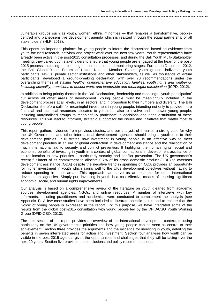vulnerable groups such as youth, women, ethnic minorities — that 'enables a transformative, peoplecentred and planet-sensitive development agenda which is realized through the equal partnership of all stakeholders' (HLP, 2013).

This opens an important platform for young people to inform the discussions based on evidence from youth-focused research, activism and project work over the next few years. Youth representatives have already been active in the post-2015 consultation processes, and during the Bali Youth Multi-Stakeholder meeting, they called upon stakeholders to ensure that young people are engaged at the heart of the post-2015 process, including the planning, implementation and monitoring stages. Further, in December 2012, the Bali Global Youth Forum of United Nations Member States, youth groups, individual youth participants, NGOs, private sector institutions and other stakeholders, as well as thousands of virtual participants, developed a ground-breaking declaration, with over 70 recommendations under the overarching themes of staying *healthy; comprehensive education; families, youth rights and wellbeing, including sexuality; transitions to decent work; and leadership and meaningful participation* (ICPD, 2012).

In addition to being priority themes in the Bali Declaration, 'leadership and meaningful youth participation' cut across all other areas of development. Young people must be meaningfully included in the development process at all levels, in all sectors, and in proportion to their numbers and diversity. The Bali Declaration therefore calls for meaningful investment in young people, intending not only to provide more financial and technical resources allocated to youth, but also to involve and empower young people, including marginalised groups to meaningfully participate in decisions about the distribution of these resources. This will lead to informed, strategic support for the issues and initiatives that matter most to young people.

This report gathers evidence from previous studies, and our analysis of it makes a strong case for why the UK Government and other international development agencies should bring a youth-lens to their development policies. It illustrates how investment in young people is an effective way to meet development priorities in an era of global contraction in development assistance and the reallocation of much international aid to security and conflict prevention. It highlights the human rights, social and economic benefits of investing in youth in a context of global contractions in development assistance or its reallocation to new priorities – particularly security and conflict prevention. The UK government's recent fulfilment of its commitment to allocate 0.7% of its gross domestic product (GDP) to overseas development assistance (ODA) despite the negative trend in spending on ODA provides an opportunity for higher investment in youth which aligns well to the UK's development objectives without having to reduce spending in other areas. This approach can serve as an example for other international development agencies. Simply put, investing in youth is a cost-effective means of realising significant economic, social, and human rights improvements.

Our analysis is based on a comprehensive review of the literature on youth gleaned from academic sources, development agencies, NGOs, and online resources. A number of interviews with key informants, including practitioners and academics, were conducted to complement the analysis (see Appendix 1). A few case studies have been included to illustrate specific points and to ensure that the 'voice' of young people is expressed in the report. For this purpose, we have integrated some of the results from the global post-2015 consultation with young people led by the DFID/CSO Youth Working Group (DFID-CSO, 2013).

The next section of the report provides an overview of the international development context, focusing particularly on the UK government's priorities and how young people can be seen as central to their achievement. Section three provides the arguments and the evidence for investing in youth, detailing the benefits in seven interrelated areas for action and investment. Section four analyses how youth can be visible in the post-2015 agenda, given the opportunities and challenges that they will be facing over the next 20 years. Section five provides the conclusions and policy recommendations.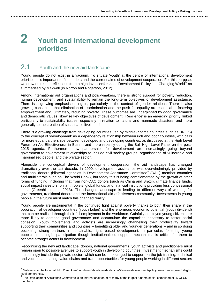## **2 Youth and international development priorities**

## 2.1 Youth and the new aid landscape

Young people do not exist in a vacuum. To situate 'youth' at the centre of international development priorities, it is important to first understand the current aims of development cooperation. For this purpose, we draw on recent reflections from a high-level conference, 'Development Policy in a Changing World<sup>3</sup>' as summarised by Maxwell (in Norton and Rogerson, 2012).

Among international aid organisations and policy-makers, there is strong support for poverty reduction, human development, and sustainability to remain the long-term objectives of development assistance. There is a growing emphasis on rights, particularly in the context of gender relations. There is also growing consensus that elimination of discrimination and the push for equality are essential to fostering empowerment and, ultimately, reducing poverty. These outcomes are underpinned by good governance and democratic values, likewise key objectives of development. 'Resilience' is an emerging priority, linked particularly to sustainability issues, especially in relation to natural and manmade disasters, and more generally to the creation of sustainable livelihoods

There is a growing challenge from developing countries (led by middle-income countries such as BRICS) to the concept of 'development' as a dependency relationship between rich and poor countries, with calls for more equal partnerships between developed and developing countries, as discussed at the High Level Forum on Aid Effectiveness in Busan, and more recently during the Bali High Level Panel on the post-2015 agenda. Furthermore, new partnerships for development are increasingly going beyond government-to-government relationships to include civil society groups, organisations of vulnerable and marginalised people, and the private sector.

Alongside the conceptual drivers of development cooperation, the aid landscape has changed dramatically over the last decade. In 2000, development assistance was overwhelmingly provided by traditional donors (bilateral agencies in Development Assistance Committee<sup>4</sup> (DAC) member countries and multilaterals such as The World Bank), but today this is being complemented by the growth of other forms of funding, including that from non-DAC donors (such as China and Brazil), climate finance funds, social impact investors, philanthropists, global funds, and financial institutions providing less concessional loans (Greenhill, et al., 2013). The changed landscape is leading to different ways of working for governments, traditional donors and the international aid effectiveness community. Investments in young people in the future must match this changed reality.

Young people are instrumental in the continued fight against poverty thanks to both their share in the population of developing countries (youth bulge) and the enormous economic potential (youth dividend) that can be realised through their full employment in the workforce. Gainfully employed young citizens are more likely to demand good governance and accumulate the capacities necessary to foster social cohesion. Youth movements and activists are increasingly channelling their productivity toward supporting their communities and countries – benefitting older and younger generations – and in so doing becoming strong partners in sustainable, rights-based development. In particular, fostering young peoples' meaningful participation though institutionalised support mechanisms is critical for them to become stronger actors in development.

Recognising the new aid landscape, donors, national governments, youth activists and practitioners must remain open to possible avenues to support youth in developing countries. Investment mechanisms could increasingly include the private sector, which can be encouraged to support on-the-job training, technical and vocational training, value chains and trade opportunities for young people working in different sectors

 3 Materials can be found at: http://um.dk/en/danida-en/about-danida/danida-50-years/development-policy-in-a-changing-world/highlevel-conference/. 4

The Development Assistance Committee is an international forum of many of the largest funders of aid, comprised of 25 OECD members.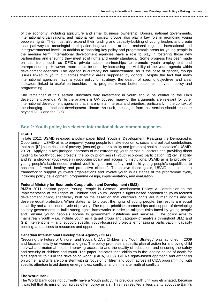of the economy, including agriculture and small business ownership. Donors, national governments, international organisations, and national civil society groups also play a key role in promoting young people's rights. They must also expand their funding and capacity-building of young leaders and create clear pathways to meaningful participation in governance at local, national, regional, international and intergovernmental levels. In addition to financing key policy and programmatic areas for young people in the medium term, international development agencies have a role to play in fostering those new partnerships and ensuring they meet solid rights and equity standards. Some progress has been made on this front, such as DFID's private sector partnerships to promote youth employment and entrepreneurship. However, more could be done by increasing the visibility of the youth agenda within development agencies. This agenda is currently not mainstreamed, as is the case of gender, though issues linked to youth cut across thematic areas supported by donors. Despite the fact that many international agencies have a youth policy or strategy, the dearth of specific objectives and clear indicators linked to useful partnerships limits progress toward better outcomes for youth policy and programming.

The remainder of this section illustrates why investment in youth should be central to the UK's development agenda. While the analysis is UK-focused, many of the arguments are relevant for other international development agencies that share similar interests and priorities, particularly in the context of the changing international development climate. As such, messages from that section should resonate beyond DFID and the FCO.

## **Box 2: Youth policy in selected international development agencies**

### **USAID**

In late 2012, USAID released a policy paper titled 'Youth in Development: Realizing the Demographic Opportunity'. USAID aims to empower young people to make economic, social and political contributions that can "[lift] countries out of poverty, [ensure] greater stability and [promote] healthier societies" (USAID, 2012). Applying a two-pronged approach of mainstreaming youth across all sectors and providing direct funding for youth-focused projects, the policy prioritises (1) youth economic participation, (2) civil stability and (3) a stronger youth voice in producing policy and accessing institutions. USAID aims to provide for young people's basic needs, protect youth's rights and safety, and build young people's capabilities to become 'informed, healthy and productive citizens'. To achieve these goals, USAID has set up a framework to support youth-led organizations and involve youth in all stages of the programme cycle, including policy development, programme design, implementation, and evaluation.

## **Federal Ministry for Economic Cooperation and Development (BMZ)**

BMZ's 2011 position paper, 'Young People in German Development Policy: A Contribution to the Implementation of the Rights of Children and Youth', adopts a rights-based approach to youth-focused development policy, specifically built on the assertion that children's rights are human rights and so deserve equal protection. When states fail to protect the rights of young people, the results are social instability and a continued cycle of poverty. The report prioritises partnerships and support of developing country governments to build strong rights frameworks in order to mitigate risks faced by young people and ensure young people's access to government institutions and services. The policy aims to mainstream youth – i.e. include youth as a target group and category of analysis throughout BMZ and GIZ interventions – and support specific youth-focussed projects emphasising participation, capacity building, and access to resources and opportunities.

## **Canadian International Development Agency (CIDA)**

"Securing the Future of Children and Youth: CIDA's Children and Youth Strategy" was launched in 2009 and focuses heavily on women and girls. The policy promotes a specific plan of action for improving child survival and maternal health, improving access to and the quality of education, and ensuring the safety and security of children and youth. The paper indicates that "childbirth is the leading cause of death for girls aged 15 to 19 in the developing world" (CIDA, 2009). CIDA's rights-based approach and emphasis on women and girls are consistent with its focus on children and youth across all CIDA programming, with specific attention to aid during emergencies, conflicts, and in the aftermath of conflicts.

## **The World Bank**

The World Bank does not currently have a 'youth policy'. Its previous youth unit was eliminated, because it was felt that its mission cut across other 'policy pillars'. This has resulted in less clarity about the Bank's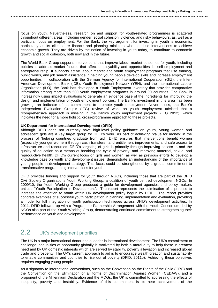focus on youth. Nevertheless, research on and support for youth-related programmes is scattered throughout different areas, including gender, social cohesion, violence, and risky behaviours, as, well as a particular focus on employment. For the Bank, the key argument for investing in youth is economic, particularly as its clients are finance and planning ministers who prioritise interventions to achieve economic growth. They are driven by the notion of investing in youth today, to contribute to economic growth and social cohesion, both now and in the future.

The World Bank Group supports interventions that improve labour market outcomes for youth, including policies to address market failures that affect employability and opportunities for self-employment and entrepreneurship. It supports active labour market and youth employment programs that use training, public works, and job search assistance in helping young people develop skills and increase employment opportunities. In collaboration with the German Agency for International Cooperation (GIZ), the Inter-American Development Bank (IDB), Youth Employment Network (YEN), and the International Labour Organization (ILO), the Bank has developed a Youth Employment Inventory that provides comparative information among more than 500 youth employment programs in around 90 countries. The Bank is increasingly using impact evaluations to generate an evidence base of the ingredients for improving the design and implementation of youth employment policies. The Bank's investment in this area has been growing, an indicator of its commitment to promote youth employment. Nevertheless, the Bank's Independent Evaluation Group's (IEG) review of work on youth employment advised that a "comprehensive approach is missing in the Bank's youth employment projects" (IEG 2012), which indicates the need for a more holistic, cross-programme approach to these projects.

### **UK Department for International Development (DFID)**

Although DFID does not currently have high-level policy guidance on youth, young women and adolescent girls are a key target group for DFID's work. As part of achieving 'value for money' in the process of 'helping countries graduate from aid', DFID ensures that interventions benefit women (especially younger women) through cash transfers, land entitlement improvements, and safe access to infrastructure and resources. DFID's targeting of girls is primarily through improving access to and the quality of education as a means of breaking the cycle of poverty, and improving maternal, sexual and reproductive health. DFID's current focus on girls and women, as well as previous efforts to develop a knowledge base on youth and development issues, demonstrate an understanding of the importance of young people in development strategy. This focus could be strengthened by a greater commitment to transformative programming interventions for youth.

DFID provides funding and support for youth through NGOs, including those that are part of the DFID Civil Society Organisations Youth Working Group, a coalition of youth centred development NGOs. In 2009/10, the Youth Working Group produced a guide for development agencies and policy makers entitled "Youth Participation in Development". The report represents the culmination of a process to increase the attention to youth within UK development policy begun by DFID. The report provides concrete examples of successful youth participation in planning, implementation and evaluation, providing a model for full integration of youth participation techniques across DFID's development activities. In 2011, DFID followed up with a Programme Partnership Arrangement with the Youth Consortium, led by NGOs also part of the Youth Working Group, demonstrating continued commitment to strengthening their performance on youth and development.

## 2.2 UK's development priorities

The UK is a major international donor and a leader in international development. The UK's commitment to challenge inequalities of opportunity globally is motivated by both a moral duty to help those in greatest need and by UK domestic interests which are served by stability, poverty alleviation and increased global trade and prosperity. The UK's current approach to aid is to encourage wealth creation and sustainability to enable communities and countries to rise out of poverty (DFID, 2011b). Achieving these objectives requires engaging young people.

As a signatory to international conventions, such as the Convention on the Rights of the Child (CRC) and the Convention on the Elimination of all forms of Discrimination Against Women (CEDAW), and a proponent of the Millennium Declaration and the MDGs, the UK is committed to addressing the effects of inequality, poverty and instability. Evidence of this commitment is its near achievement of the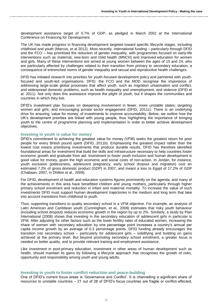development assistance target of 0.7% of GDP, as pledged in March 2002 at the International Conference on Financing for Development.

The UK has made progress in financing development targeted toward specific lifecycle stages, including childhood and youth (Marcus, et al 2012). Most recently, international funding – particularly through DFID and the FCO – has prioritised the reduction of gender inequality, with programmes focused on early-life interventions such as maternal, new-born and child health (MNCH) and improved education for women and girls. Many of these interventions are aimed at young women between the ages of 15 and 24, who are particularly affected by challenges related to their transition from primary to secondary education, a consequence of entrenched norms of gender inequality and sexual and reproductive health challenges.

DFID has initiated research into priorities for youth-focused development policy and partnered with youthfocused and youth-led organisations. DFID, the FCO and the MOD recognise the importance of addressing large-scale global processes that affect youth, such as migration urbanisation and conflict, and widespread domestic problems, such as health inequality and unemployment, and violence (DFID et al. 2011). Not only does this assistance improve the plight of youth, but it shapes the communities and countries in which they live.

DFID's investment plan focuses on deepening involvement in fewer, more unstable states; targeting women and girls; and encouraging private sector engagement (DFID, 2011c). There is an underlying drive for ensuring 'value for money' of investments to improve accountability. Below, we outline how the UK's development priorities are linked with young people, thus highlighting the importance of bringing youth to the centre of programme planning and implementation in order to better achieve development objectives.

#### **Investing in youth is value for money**

DFID's commitment to achieving the greatest value for money (VFM) seeks the greatest return for poor people for every British pound spent (DFID, 2011b). Emphasising the greatest impact rather than the lowest cost means prioritising investments that produce durable results. DFID has therefore identified foundational areas for investment that build the skills and infrastructure necessary to help countries foster economic growth and graduate from aid. Investment to foster youth inclusion and human development is good value for money, given the high economic and social costs of non-action. In Jordan, for instance, youth exclusion (joblessness, adolescent pregnancy, early school dropout and migration) cost an estimated 7.2% of gross domestic product (GDP) in 2007, and meant a loss to Egypt of 17.2% of GDP (Chabaan, 2007, in Dhillon et al., 2009).

For DFID, development of health and education systems figures prominently on the agenda, and many of the achievements in this area have benefitted children and young mothers, particularly through higher primary school enrolment and reduction in infant and maternal mortality. To increase the value of such investments DFID must support human development trajectories in the medium and long term that take into account transitions from childhood to youth.

Thus, supporting transitions to quality secondary school is a VFM objective. For example, an analysis of Latin American and Caribbean youth (Cunningham, et al., 2008) estimates that risky youth behaviour (including school dropout) reduces economic growth in the region by up to 2%. Similarly, a study by Plan International (2008) shows that investing in the secondary education of adolescent girls in particular is VFM. After adjusting for other factors such as the lower fertility rates of educated women, increasing the share of women with secondary education by one percentage point increases a country's annual per capita income growth by an average of 0.3 percentage points. DFID funding already encourages the transition into secondary school – particularly for adolescent girls – solidifying and building on gains achieved at the primary level. But beyond promoting secondary school enrolment, a greater focus is needed on better quality, and to provide relevant training and employment assistance.

Like investment in post-primary education, investment in other areas of human development such as health, should maintain its gains by following a lifecycle approach that recognises the growth of risks, opportunity and responsibility among youth and young adults.

#### **Investing in youth to foster conflict reduction and peace-building**

One of DFID's current focus areas is 'Governance and Conflict'. It is channelling a significant share of resources to unstable countries – 21 out of 28 of DFID's focus countries are fragile or conflict-affected,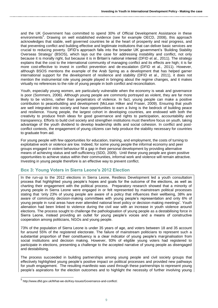and the UK Government has committed to spend 30% of Official Development Assistance in these environments<sup>5</sup>. Drawing on well established evidence (see for example OECD, 2008), this approach acknowledges that stable, well governed countries lie at the heart of prosperity and real progress, and that preventing conflict and building effective and legitimate institutions that can deliver basic services are crucial to reducing poverty. DFID's approach falls into the broader UK government's 'Building Stability Overseas Strategy' (BSOS), which lays out the case for addressing instability and conflict, not only because it is morally right, but because it is in Britain's national interest (DFID et al., 2011). The strategy explains that the cost to the international community of managing conflict and its effects are high; it is far more cost-effective to invest in conflict prevention and de-escalation (DFID et al., 2011). However, although BSOS mentions the example of the Arab Spring as a development that has helped garner international support for the development of resilience and stability (DFID et al., 2011), it does not mention the instrumental role young people played in bringing about the regime changes, and it makes virtually no references to the role of young people in both conflict and reconciliation.

Youth, especially young women, are particularly vulnerable when the economy is weak and governance is poor (Sommers, 2006). Although young people are commonly portrayed as violent, they are far more likely to be victims, rather than perpetrators of violence. In fact, young people can make a positive contribution to peacebuilding and development (McLean Hilker and Fraser, 2009). Ensuring that youth are well integrated into society and have opportunities to earn a living is the bedrock of building peace and resilience. Young people, the largest cohort in developing countries, are endowed with both the creativity to produce fresh ideas for good governance and rights to participation, accountability and transparency. Efforts to build civil society and strengthen institutions must therefore focus on youth, taking advantage of the youth dividend to develop leadership skills and social cohesion. In conflict and postconflict contexts, the engagement of young citizens can help produce the stability necessary for countries to graduate from aid.

For young people with few opportunities for education, training, and employment, the costs of turning to exploitative work or violence are low. Indeed, for some young people the informal economy and peer groups engaged in violent behaviour fill a gap in their personal development by providing alternative means of achieving status and self-sufficiency (SDD, 2009). Until these young people are given positive opportunities to achieve status within their communities, informal work and violence will remain attractive. Investing in young people therefore is an effective way to prevent conflict.

## **Box 3: Young Voters in Sierra Leone's 2012 Election**

In the run-up to the 2012 elections in Sierra Leone, Restless Development led a youth consultation process that highlighted young people's hopes and goals for the outcome of the elections, as well as charting their engagement with the political process. Preparatory research showed that a minority of young people in Sierra Leone were engaged in or felt represented by mainstream political processes stating that 'only 23% of young people are aware of a policy that influences their wellbeing, 38% are aware of community decision-making committees with young people's representation and only 6% of young people in rural areas have ever attended national level policy or decision-making meetings'. Youth alienation had been linked to violence during the civil war with an increase in youth violence around elections. The process sought to challenge the pathologisation of young people as a destabilising force in Sierra Leone, instead providing an outlet for young people's voices and a means of constructive cooperation among politicians, NGOs and young people.

73% of the population of Sierra Leone is under 35 years of age, and voters between 18 and 35 account for around 55% of the registered electorate. The failure of mainstream politicians to represent such a substantial proportion of their constituency is a clear indicator of young people's marginalisation from social institutions and decision making. However, 93% of eligible young voters had registered to participate in elections, presenting a challenge to the accepted narrative of young people as disengaged and destabilising.

The process succeeded in building partnerships among young people and civil society groups that effectively highlighted young people's positive impact on political processes and provided new pathways for youth engagement. The resulting manifesto was used through these partnerships to represent young people's aspirations for the election outcomes and to highlight the necessity of further involving young

 5 http://www.dfid.gov.uk/What-we-do/Key-Issues/Governance-and-conflict/.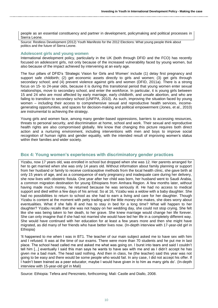people as an essential constituency and partner in development, policymaking and political processes in Sierra Leone.

Source: Restless Development (2012) Youth Manifesto for the 2012 Elections: What young people think about politics and the future of Sierra Leone.

### **Adolescent girls and young women**

International development policy, particularly in the UK (both through DFID and the FCO) has recently focused on adolescent girls, not only because of the increased vulnerability faced by young women, but also because of the impact achieved by intervening at an early age.

The four pillars of DFID's 'Strategic Vision for Girls and Women' include (1) delay first pregnancy and support safe childbirth; (2) get economic assets directly to girls and women; (3) get girls through secondary school; and (4) prevent violence against girls and women (DFID, 2011a). There is a strong focus on 15- to 24-year olds, because it is during this transitional period that young women enter sexual relationships, move to secondary school, and enter the workforce. In particular, it is young girls between 15 and 24 who are most affected by early marriage, early childbirth, and unsafe abortion, and who are failing to transition to secondary school (UNFPA, 2010). As such, improving the situation faced by young women – including their access to comprehensive sexual and reproductive health services, incomegenerating opportunities, and spaces for decision-making and political empowerment (Jones, et al., 2010) are instrumental to achieving the strategy.

Young girls and women face, among many gender-based oppressions, barriers to accessing resources, threats to personal security, and discrimination at home, school and work. Their sexual and reproductive health rights are also compromised globally. We know that changing this picture requires both direct action and a nurturing environment, including interventions with men and boys to improve social recognition of human rights and gender equality, with the intended result of improving women's status within their families and wider society.

## **Box 4: Young women's experiences with discriminatory gender practices**

Yizabu, now 17 years old, was enrolled in school but dropped when she was 12. Her parents arranged for her to get married when she was only 14 years old. Without information about family planning or support from her husband or family to receive contraceptive methods from the local health clinic, she gave birth at only 15 years of age, and as a consequence of early pregnancy and inadequate care during her delivery, she now lives with obstetric fistula. One year after her child was born, her husband went to Saudi Arabia, a common migration destination for young Ethiopians from Amhara Region. A few months later, without having made much money, he returned because he was seriously ill. He had no access to medical support and died within a few days of his arrival. So at 16, Yizabu was a widow with a baby daughter. She had no possibilities to return to school as she had to earn a living and care for her daughter. Though Yizabu is content at the moment with petty trading and the little money she makes, she does worry about eventualities. What if she falls ill and has to stay in bed for a long time? What will happen to her daughter? Yizabu recalls that she was not happy on her wedding day, she could not stop crying. She felt like she was being taken to her death, to her grave. She knew marriage would change her life forever. She can only imagine that if she had not married she would have led her life in a completely different way. She would have continued with her education for at least a few years more and then she might have migrated, as did many of her friends who have better lives now. (In-depth interview with 17-year-old girl in Ethiopia)

'It happened to me when I was in BT1. The teacher of our main subject asked me to have sex with him and I refused. It was at the time of our exams. There were more than 70 students and he put me in last place. The school head called me and asked me what was going on. I burst into tears and said I couldn't tell him [...] eventually I said this man says he wants to have sex with me and as I didn't accept he has given me a bad mark. The head said nothing. And then in class, he (the teacher) said this year was not going to be easy and there would be some people who would fail. In any case, I did not accept his offer. If I hadn't been trained as a peer educator, maybe I would have given in to him as many girls do'. (In-depth interview with 15-year-old girl in Mali)

Source: Ethiopia: Tefera and Pereznieto, forthcoming; Mali: Castle and Diallo, 2008.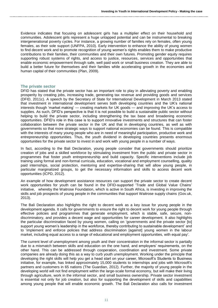Evidence indicates that focusing on adolescent girls has a multiplier effect on their household and communities. Adolescent girls represent a huge untapped potential and can be instrumental to breaking intergenerational poverty cycles. For instance, a growing number of families rely on females, often young females, as their sole support (UNFPA, 2010). Early intervention to enhance the ability of young women to find decent work and to promote recognition of young women's rights enables them to make productive contributions to their families, their communities and their own futures. Promoting gender equity requires supporting robust systems of rights, and access to justice, resources, services and opportunities that enable economic empowerment through safe, well paid work or small business creation. They are able to build a better future for themselves and their families while accelerating growth in the economies and human capital of their communities (Plan, 2009).

### **The private sector**

DFID has stated that the private sector has an important role to play in alleviating poverty and enabling prosperity by creating jobs, increasing trade, generating tax revenue and providing goods and services (DFID, 2011c). A speech by the Secretary of State for International Development in March 2013 stated that investment in international development serves both developing countries and the UK's national interests though 'market making' — creating markets for UK goods — and improving the UK's access to supplies. As such, DFID's perspective is that it is not possible to build a sustainable public sector without helping to build the private sector, including strengthening the tax base and broadening economic opportunities. DFID's role in this case is to support innovative investments and structures that can foster collaboration between the private sector in the UK and that in developing countries, as well as with governments so that more strategic ways to support national economies can be found. This is compatible with the interests of many young people who are in need of meaningful participation, productive work and entrepreneurship opportunities. Thus, the youth dividend in developing countries presents enormous opportunities for the private sector to invest in and work with young people in a number of ways.

In fact, according to the Bali Declaration, young people consider that governments should prioritize creation of jobs and a skilled workforce by stimulating investment from the public and private sector in programmes that foster youth entrepreneurship and build capacity. Specific interventions include job training using formal and non-formal curricula, education, vocational and employment counselling, quality paid internships, social protection, mentoring and expertise-sharing that will allow young people, in particular marginalized groups, to get the necessary information and skills to access decent work opportunities (ICPD, 2012).

An example of how development assistance resources can support the private sector to create decent work opportunities for youth can be found in the DFID-supported 'Trade and Global Value Chains' initiative, whereby the Waitrose Foundation, which is active in South Africa, is investing in improving the skills and job prospects of young people in the communities that support Waitrose supply chains (Gov.uk, 2013).

The Bali Declaration also highlights the right to decent work as a key issue for young people in the development agenda. It calls for governments to ensure the right to decent work for young people through effective policies and programmes that generate employment, which is stable, safe, secure, nondiscriminatory, and provides a decent wage and opportunities for career development. It also highlights the particular discrimination faced by young women, calling on 'governments and the private sector [to] support young women's leadership in the workforce, thereby contributing to sustainable development' and to 'implement and enforce policies that address discrimination [against] young women in the labour market, including equal access to a range of educational and employment opportunities, with equal pay'.

The current level of unemployment among youth and their concentration in the informal sector is partially due to a mismatch between skills and education on the one hand, and employers' requirements, on the other hand. This can be addressed through cooperation, coordination and investment. Some private companies are already doing this as a way to curb youth unemployment. Working under the principle that developing the right skills will help you get a head start on your career, Microsoft's Students to Business initiative, for example, has linked approximately 15,000 students to internships and jobs with Microsoft's partners and customers in 65 nations (The Guardian, 2012). Further, the majority of young people in the developing world will not find employment within the large-scale formal economy, but will make their living through agriculture, work in the informal sector, and small business ownership. Private sector investment is essential not only for job creation, but also for supporting the development of skills and capabilities among young people that will enable economic growth. The Bali Declaration also calls for investment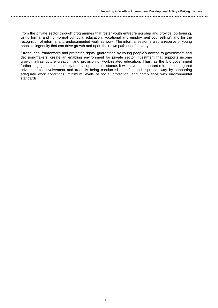'from the private sector through programmes that foster youth entrepreneurship and provide job training, using formal and non-formal curricula, education, vocational and employment counselling', and for the recognition of informal and undocumented work as work. The informal sector is also a reserve of young people's ingenuity that can drive growth and open their own path out of poverty.

Strong legal frameworks and protected rights, guaranteed by young people's access to government and decision-makers, create an enabling environment for private sector investment that supports income growth, infrastructure creation, and provision of work-related education. Thus, as the UK government further engages in this modality of development assistance, it will have an important role in ensuring that private sector involvement and trade is being conducted in a fair and equitable way by supporting adequate work conditions, minimum levels of social protection, and compliance with environmental standards

.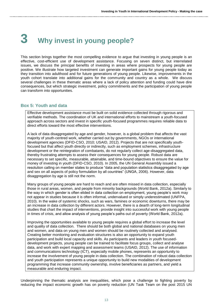# **3 Why invest in young people?**

This section brings together the most compelling evidence to argue that investing in young people is an effective, cost-efficient use of development assistance. Focusing on seven distinct, but interrelated issues, we discuss the principal benefits of investing in areas where prospects for young people are positive. We illustrate how targeted investment can generate important gains for young people today as they transition into adulthood and for future generations of young people. Likewise, improvements in the youth cohort translate into additional gains for the community and country as a whole. We discuss several challenges in these thematic areas where a lack of policy attention and funding could have dire consequences, but which strategic investment, policy commitments and the participation of young people can transform into opportunities.

## **Box 5: Youth and data**

Effective development assistance must be built on solid evidence collected through rigorous and verifiable methods. The coordination of UK and international efforts to mainstream a youth-focused approach across sectors and invest in specific youth-focused programmes requires reliable data to direct efforts toward the most effective interventions.

A lack of data disaggregated by age and gender, however, is a global problem that affects the vast majority of youth-centred work, whether carried out by governments, NGOs or international development agencies (DFID-CSO, 2010; USAID, 2012). Projects that are not specifically youthfocused but that affect youth directly or indirectly, such as employment schemes, infrastructure development or the reintegration of combatants, do not regularly collect age-disaggregated data, thereby frustrating attempts to assess their consequences for young people. Robust data are necessary to set specific, measurable, attainable, and time-bound objectives to ensure the value for money of investing in youth (DFID-CSO, 2010). In 2005, the UN General Assembly issued a resolution calling on member states to produce "data and population statistics disaggregated by age and sex on all aspects of policy formulation by all countries" (UNGA, 2006). However, data disaggregation by age is still not the norm.

Many groups of young people are hard to reach and are often missed in data collection, especially those in rural areas, women, and people from minority backgrounds (World Bank, 2012a). Similarly to the way in which gender is often elided in data collection on employment, young people's work may not appear in studies because it is often informal, undervalued or simply underestimated (UNFPA, 2010). In the wake of systemic shocks, such as wars, famines or economic downturns, there may be an increase in data collection by different actors. However, there is a dearth of long-term longitudinal studies that chart the impact of interventions, provide insight into successful work with young people in times of crisis, and allow analysis of young people's paths out of poverty (World Bank, 2012a).

Improving the opportunities available to young people requires a global effort to increase the level and quality of data collection. There should be both global and national databases on young men and women, and data on young men and women should be routinely collected and analysed. Creating better monitoring and evaluation structures is also an opportunity to expand youth participation and build local capacity and skills. As participants and leaders in youth focuseddevelopment projects, young people can be trained to facilitate focus groups, collect and analyse data, and work with expert mapping and assessment teams (USAID, 2012). The use of information and communications technology (ICT), especially mobile phones, represents an opportunity to increase the involvement of young people in data collection. The combination of robust data collection and youth participation represents a unique opportunity to build new modalities of development programming that increase community ownership, involve beneficiaries as partners, and yield a measurable and enduring impact.

Underpinning the thematic analysis are inequalities, which pose a challenge to fighting poverty by reducing the impact economic growth has on poverty reduction (UN Task Team on the post 2015 UN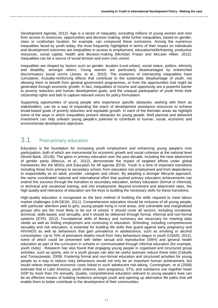Development Agenda, 2012). Age is a vector of inequality, excluding millions of young women and men from access to resources, opportunities and decision-making, while further inequalities, based on gender, class or rural/urban location, for example, can compound these exclusions. Among the numerous inequalities faced by youth today, the most frequently highlighted in terms of their impact on individuals and development outcomes are inequalities in access to employment, education/skills/training, productive resources, social capital, health and decision-making (McAslan Fraser and McLean Hilker, 2012). Inequalities can be a source of social tension and even civic unrest.

Inequalities are shaped by factors such as gender, location (rural-urban), social status, politics, ethnicity and disability, amongst others. Young women are particularly disadvantaged by entrenched discriminatory social norms (Jones, et al., 2010). The existence of intersecting inequalities have cumulative, mutually-reinforcing effects that contribute to the systematic disadvantage of youth, not allowing them to benefit from general government programmes, or from the opportunities that might be generated through economic growth. In fact, inequalities of income and opportunity are a powerful barrier to poverty reduction and human development goals, and the unequal participation of youth limits their citizenship rights and fails to capture relevant voices for policy formulation.

Supporting opportunities of young people who experience specific obstacles, working with them as stakeholders, can be a way of expanding the reach of development assistance resources to achieve broad-based goals of poverty reduction and equitable growth. In each of the thematic areas we highlight some of the ways in which inequalities present obstacles for young people. Well planned and delivered investment can help unleash young people's potential to contribute to human, social, economic and environmental development objectives.

## 3.1 Post-primary education

Education is the foundation for increasing youth employment and enhancing young people's civic participation, both of which are instrumental for economic growth and social cohesion at the national level (World Bank, 2012b). The gains in primary education over the past decade, including the near attainment of gender parity (Marcus, et al., 2012), demonstrate the impact of targeted efforts under global frameworks like the MDGs and Education for All agenda (EFA). Youth is a time of important transitions including those from primary to secondary school, from education into employment and from dependency to responsibility as an adult, provider, caregiver and citizen. By adopting a stronger lifecycle approach, the same coordinated national and international effort that pushed primary education achievements can extend this success through the transition to secondary education, tertiary education (formal or informal), or technical and vocational training, and into employment. Beyond enrolment and attainment rates, the high quality and relevance of education are the keys to building the necessary skills for these transitions.

High-quality education is recognised as the best method of building the skills required to meet labour market challenges (UN-DESA, 2011). Comprehensive education should be inclusive of all young people, with particular attention paid to girls, young people living in rural areas, and vulnerable and marginalised groups who are the most likely to be out of school. It should cover all sectors, including vocational, technical, skills-based, and sexuality, and it should be delivered through formal, informal and non-formal systems (ICPD, 2012). Foundational skills of literacy and numeracy are necessary for meeting daily needs as well as finding employment and continuing in education. Schooling, including comprehensive sexuality and risk education, is essential for building life skills that guard against early pregnancy and HIV/AIDS as well as behaviours that gain prevalence in adolescence, such as smoking or alcohol consumption. Up to 70% of premature deaths result from risky behaviours begun in youth (USAID, 2012), some of which could be prevented with better sexual and reproductive (SRH) and general health education as part of the curriculum in schools or communicated through informal education (for example, youth clubs) . Research has also found that engaging young people in organised and structured group activities, such as sports, arts or a youth groups can also be useful avenues reduce these risks (Cebulla and Tomaszewski, 2009). Fostering formal and non-formal education and structured activities for young people as a way to reduce risky behaviours would not only be an important human achievement, but would relieve important economic costs linked to such adolescent risk-taking. Cunningham, et al (2008) estimate that in Latin America, youth violence, teen pregnancy, STIs, and substance use together lower GDP by more than 1% annually. Quality, comprehensive education relevant to young people's lives can be an effective means of building resilience amongst youth and opening up alternative life paths that will enable them to better contribute to the development of their communities.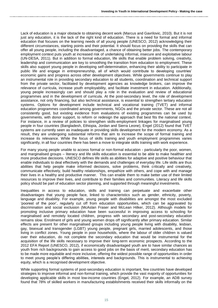Lack of education is a major obstacle to obtaining decent work (Marcus and Gavrilovic, 2010). But it is not just any education, it is the lack of the right kind of education. There is a need for formal and informal education that focuses on the learning needs of all young people (UNESCO, 2012) acknowledging their different circumstances, starting points and their potential. It should focus on providing the skills that can offer all young people, including the disadvantaged, a chance of obtaining better jobs. The contemporary employment context puts youth at increased risk of undertaking informal, insecure and exploitative labour (UN-DESA, 2011). But in addition to formal education, life skills that enable problem solving, creativity, leadership and communication are key to smoothing the transition from education to employment. These skills also support young people in developing self-determination, enhancing their ability to participate in public life and engage in entrepreneurship, all of which would contribute to developing countries' economic gains and progress across other development objectives. While governments continue to play an instrumental role in providing secondary education to all students, coordination and technical support from the private sector, facilitated by development agencies as knowledge brokers, can improve the relevance of curricula, increase youth employability, and facilitate investment in education. Additionally, young people increasingly can and should play a role in the evaluation and review of educational programmes and in the development of curricula. At the post-secondary level, the role of development assistance, not only financing, but also technical assistance, is essential to strengthen tertiary education systems. Options for development include technical and vocational training (TVET) and informal education programmes coordinated among governments, NGOs and the private sector. These are not all consistently good, but existing evidence from evaluations of existing programmes can be used by governments, with donor support, to reform or redesign the approach that best fits the national context. For instance, in a review of policies to strengthen skills-employment linkages for marginalised young people in four countries (Bangladesh, Ethiopia, Jordan and Sierra Leone), Engel (2012) found that TVET systems are currently seen as inadequate in providing skills development for the modern economy. As a result, they are undergoing substantial reforms that aim to increase the scope of formal training and increase its relevance. While the focus of skills training and youth employment programmes varies significantly, in all four countries there has been a move to integrate skills training with work experience.

For many young people unable to access formal or non-formal education - particularly the poor, women, and marginalised groups – literacy and life skills education is essential to be able to make healthier and more productive decisions. UNESCO defines life skills as abilities for adaptive and positive behaviour that enable individuals to deal effectively with the demands and challenges of everyday life. Life skills are thus abilities that help people make informed decisions, solve problems, think critically and creatively, communicate effectively, build healthy relationships, empathize with others, and cope with and manage their lives in a healthy and productive manner. This can enable them to make better use of their limited resources to improve their lives, and contribute to their families and communities. Literacy and life skills policy should be part of education sector planning, and supported through meaningful investments.

Inequalities in access to education, skills and training can perpetuate and exacerbate other disadvantages that young people face, linked to characteristics such as gender, ethnicity, poverty, language and disability. For example, young people with disabilities are amongst the most excluded 'poorest of the poor', regularly cut off from education opportunities, which can be aggravated by discrimination and social exclusion (McAslan Fraser and McLean Hilker, 2012). Although models for promoting inclusive primary education have been successful in improving access to schooling for marginalised and remotely located children, progress with secondary and post-secondary education remains slow. Enrolment of girls and young women drops off significantly after primary education. Similar effects are present for other marginalised groups including young people living with disability, lesbian, gay, bisexual and transgender (LGBT) young people, pregnant girls, married adolescents, and those living in conflict zones. Young people in poor households, where the labour of older children is valued over their education, do not complete the secondary education that would be instrumental for the acquisition of the life skills necessary to improve their long-term economic prospects. According to the 2012 EFA Report (UNESCO, 2012), if economically disadvantaged youth are to have similar chances as youth from rich backgrounds to gain access to good jobs on the basis of merit, secondary education has to be made more equitable and more inclusive, offering the widest possible range of opportunities in order to meet young people's differing abilities, interests and backgrounds. This is instrumental to achieving equity, which is a recognised development objective.

While supporting formal systems of post-secondary education is important, few countries have developed strategies to improve informal and non-formal training, which provide the vast majority of opportunities for developing applicable skills in most low-income countries (Engel, 2012). For example, an ADB survey found that 78% of skilled workers in manufacturing establishments received their skills informally on the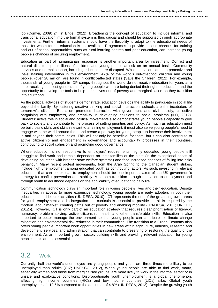job (Comyn, 2009: 24, in Engel, 2012). Broadening the concept of education to include informal and transitional education into the formal system is thus crucial and should be supported through appropriate investments. Further, informal systems should have the flexibility to adapt to the educational needs of those for whom formal education is not available. Programmes to provide second chances for training and out-of-school opportunities, such as rural learning centres and peer education, can increase young people's chances of securing employment.

Education as part of humanitarian responses is another important area for investment. Conflict and natural disasters put millions of children and young people at risk on an annual basis. Community services and normal support, including education, are disrupted. While education can be a protective and life-sustaining intervention in this environment, 42% of the world's out-of-school children and young people, (over 28 million) are found in conflict-affected states (Save the Children, 2012). For example, thousands of young people in IDP camps throughout the world do not receive education for years at a time, resulting in a 'lost generation' of young people who are being denied their right to education and the opportunity to develop the tools to help themselves out of poverty and marginalisation as they transition into adulthood.

As the political activities of students demonstrate, education develops the ability to participate in social life beyond the family. By fostering creative thinking and social interaction, schools are the incubators of tomorrow's citizens. Education promotes interaction with government and civil society, collective bargaining with employers, and creativity in developing solutions to social problems (ILO, 2012). Students' active role in social and political movements also demonstrates young people's capacity to give back to society and contribute to the process of setting priorities and policy. As much as education must be build basic skills and skills relevant to attaining employment, it must also serve young people's need to engage with the world around them and create a pathway for young people to increase their involvement in and beyond their communities. This will not only be beneficial for them, but it can also contribute to active citizenship and engagement in governance and accountability processes in their countries, contributing to social cohesion and promoting good governance.

Where education is not responsive to employers' requirements, highly educated young people still struggle to find work and remain dependent on their families or the state (in the exceptional cases of developing countries with broader state welfare systems) and face increased chances of falling into risky behaviour. Many recent protest movements, from the Arab Spring to the Canadian student strikes, include high unemployment among educated youth as contributing factors. As such, investing in relevant education that can better lead to employment should be one important axes of the UK government's strategy for conflict prevention and stability. A smooth transition through education to employment and through youth to adulthood depends on the applicability of education to daily life.

Communication technology plays an important role in young people's lives and their education. Despite inequalities in access to more expensive technology, young people are early adopters in both their educational and leisure activities (UN-DESA, 2010). ICT represents the one of the greatest growth areas for youth employment and its integration into curricula is essential to provide the skills required by the modern labour market, creating paths out of poverty and enabling mobility (UN-DESA, 2011; UNICEF, 2012b). However, ICT is only part of an education strategy that requires clear prioritisation of literacy, numeracy, problem solving, active citizenship, health and other transferable skills. Education is also important to better manage the environment so that young people can contribute to climate change mitigation and environmental risk reduction in their communities. The transition to a Green Economy also offers young people important work opportunities in new areas within agriculture, industry, research and development, services, and administration that can contribute to preserving or restoring the quality of the environment. As an important growth sector, building skills and providing relevant education for young people in this area is essential.

## 3.2 Work

Currently, half the world's unemployed are young people and youth are three times more likely to be unemployed than adults (GIZ; UNESCO, 2012), When young people are able to find work, many, especially women and those from marginalised groups, are more likely to work in the informal sector or in unsafe and exploitative conditions. Disproportionate youth unemployment is a global phenomenon, affecting high income countries (HICs) and low income countries (LICs) alike. Global youth unemployment is 12.6% compared to the adult rate of 4.8% (UN-DESA, 2012). Despite the growing youth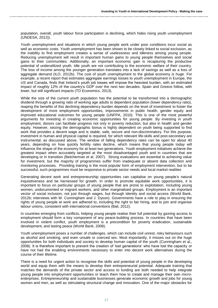population, overall, youth labour force participation is declining, which hides rising youth unemployment (UNDESA, 2012)).

Youth unemployment and situations in which young people work under poor conditions incur social as well as economic costs. Youth unemployment has been shown to be closely linked to social exclusion, as the inability to find employment creates a sense of uselessness and idleness among young people. Reducing unemployment will result in important human gains to young people themselves and social gains to their communities. Additionally, an important economic gain is recapturing the productive potential of underutilized youth. Idle youth are not contributing to the economic welfare of their country. The loss of income among the younger generation translates into a lack of savings as well as a loss of aggregate demand (ILO, 2012b). The cost of youth unemployment to the global economy is huge. For example, a recent report that estimates aggregate earnings losses to youth unemployment in Europe, the US and Canada, finds that Ireland's youth job losses will impose the heaviest burden, with an estimated impact of roughly 12% of the country's GDP over the next two decades. Spain and Greece follow, with lower, but still significant impacts (TD Economics, 2013).

While the size of the current youth population has the potential to be transformed into a demographic dividend through a growing ratio of working age adults to dependent population (lower dependency ratio), reaping the benefits of this declining dependency burden depends on the level of investment to foster the development of more employment opportunities, improvements in public health, gender equity and improved educational outcomes for young people (UNFPA, 2010). This is one of the most powerful arguments for investing in creating economic opportunities for young people. By investing in youth employment, donors can facilitate progress not only in poverty reduction, but also in health and gender equity. However, seizing the demographic bonus is highly dependent on youth being supported to find work that provides a decent wage and is stable, safe, secure and non-discriminatory. For this purpose, investment in human and physical capital is required, for which relevant life-skills and post-secondary are instrumental, as discussed above. The window of falling dependency rates can be open for about 40 years, depending on how quickly fertility rates decline, which means that young people today will influence the shape of the economy for at least two generations. Youth employment initiatives achieve the greatest impact when accurately targeted at the most disadvantaged youth and in countries that are developing or in transition (Betcherman et al. 2007). Strong evaluations are essential to achieving value for investment, but the majority of programmes suffer from inadequate or absent data collection and monitoring processes. Providing training is the most popular form of employment intervention, but to be successful, such programmes must be responsive to private sector needs and local market realities

Generating decent work and entrepreneurship opportunities can capitalise on young people's natural inquisitiveness and be harnessed for growth. In order to promote equitable work opportunities, it is important to focus on particular groups of young people that are prone to exploitation, including young women, undocumented or migrant workers, and other marginalised groups. Employment is an important vector of social inclusion, not just through wages, but through identity and social access (World Bank, 2012b; interviews with W. Cunningham and J. Dyson). Governments have a role to play in ensuring the rights of young people at work are adhered to, including the right to fair hiring, and to join and organise labour unions, consistent with international conventions (Bali, 2012).

In countries emerging from conflicts, helping young people realise their full potential by gaining access to employment should form a key component of any peace-building process. In countries that have been involved in violent conflict, youth employment is a precondition for poverty eradication, sustainable development, and lasting peace (World Bank, 2008).

Youth unemployment poses a number of challenges, which can include civil unrest, risky behaviours such as alcohol and smoking, and even unsafe or coerced sex. Most importantly, it misses out on the huge opportunities for both individuals and society to develop human capital of the youth (Cunningham et al., 2008). It is therefore important to prevent the creation of 'lost generations' who have lost the capacity or have not had the enabling environments necessary to enter into decent work alternatives during the course of their lifetime.

There is a need for urgent action to recognise the skills and potential of young people in the developing world and equip them with the means to develop their entrepreneurial potential. Adequate training that matches the demands of the private sector and access to funding are both needed to help integrate young people into employment opportunities or teach them how to create and manage their own microenterprises. Entrepreneurship and sustainable businesses generate economic growth and jobs for young women and men, as well as stimulating structural change and innovation. One of the major obstacles for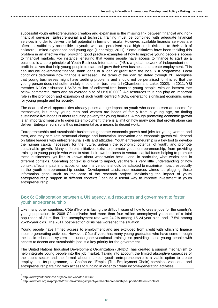successful youth entrepreneurship creation and expansion is the missing link between financial and nonfinancial services. Entrepreneurial and technical training must be combined with adequate financial services in order to deliver the full potential in terms of results. However, available financial services are often not sufficiently accessible to youth, who are perceived as a high credit risk due to their lack of collateral, limited experience and young age (Hribernigg, 2011). Some initiatives have been tackling this problem in an effective way, providing good practice examples of how to improve young people's access to financial markets. For instance, ensuring that young people have access to finance to start up a business is a core principle of Youth Business International (YBI), a global network of independent nonprofit initiatives that help young people to start and grow their own business and create employment. This can include government finance, bank loans or a loan or grant from the local YBI programme. Local conditions determine how finance is accessed. The terms of the loan facilitated through YBI recognise that young businesses might have teething problems and should not be penalised for this so that the young person does not suffer unduly should their business fail (Chambers and Lake, 2002). In 2011, YBI member NGOs disbursed US\$72 million of collateral-free loans to young people, with an interest rate below commercial rates and an average size of US\$10,000<sup>6</sup>. Aid resources thus can play an important role in the promotion and expansion of such youth centred NGOs, generating significant economic gains for young people and for society.

The dearth of work opportunities already poses a huge impact on youth who need to earn an income for themselves, but many young men and women are heads of family from a young age, so finding sustainable livelihoods is about reducing poverty for young families. Although promoting economic growth is an important measure to generate employment, there is a limit on how many jobs that growth alone can deliver. Entrepreneurship is thus instrumental as a means to decent work.

Entrepreneurship and sustainable businesses generate economic growth and jobs for young women and men, and they stimulate structural change and innovation. Innovation and economic growth will depend on future leaders with entrepreneurial skills and attitudes. Youth entrepreneurship is a key tool to develop the human capital necessary for the future, unleash the economic potential of youth, and promote sustainable growth. Many different initiatives exist to promote youth entrepreneurship, from providing training to young people who want to start their own business to venture capital funds helping to promote these businesses, yet little is known about what works best – and, in particular, what works best in different contexts. Operating context is critical to impact, yet there is very little understanding of how context affects impact in practice, or how interventions should be adapted to maximise impact, especially in the youth entrepreneurship sector. Development assistance resources aimed at plugging those information gaps, such as the case of the research project 'Maximising the impact of youth entrepreneurship support in different contexts<sup>7</sup> can be a useful way to improve investment in youth entrepreneurship.

## **Box 6:** Collaboration between a UN agency, aid resources and government to foster youth entrepreneurship

Like many other countries, Côte d'Ivoire is facing the difficult issue of how to create jobs for the country's young population. In 2008 Côte d'Ivoire had more than four million unemployed youth out of a total population of 21 million. The unemployment rate was 24.2% among 15-24-year olds, and 17.5% among 25-35-year olds. The 2011 post-election crisis has worsened the situation.

Young people have limited access to employment and are excluded from credit with which to finance income-generating activities. However, Côte d'Ivoire has many young graduates who have come through the basic education system and undergone vocational training, so providing these young people with access to decent and sustainable jobs is a key priority for the government.

The United Nations Industrial Development Organization (UNIDO) has created a support mechanism to help integrate young people into the job market. Taking into account the limited absorptive capacities of the public sector and the formal labour markets, youth entrepreneurship is a viable option to create employment. Its programme, La Chaîne de l'Emploi (The Employment Chain) combines vocational and entrepreneurship training with access to funding in order to create income-generating activities.

<sup>—&</sup>lt;br><sup>6</sup> http://www.youthbusiness.org/how-we-work/the-return/<br><sup>7</sup> http://www.yo<sup>ut</sup>iors.uk/prejacta/OEE7 movimizing.import

http://www.odi.org.uk/projects/2557-maximising-impact-youth-entrepreneurship-support-different-contexts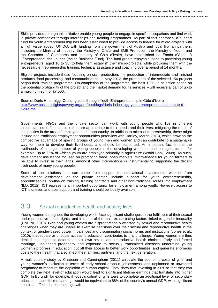Skills provided through this initiative enable young people to engage in specific occupations and find work in private companies through internships and training programmes. As part of this approach, a support fund for youth entrepreneurship has been established to provide access to finance for micro-projects with a high value added. UNIDO, with funding from the government of Austria and local Ivoirian partners, including the Ministry of Industry, the Ministry of Crafts and SME Promotion, the Ministry of Youth, and the Chamber of Commerce and Industry of Côte d'Ivoire, have established Le Fonds d'Appui à l'Entreprenariat des Jeunes (Youth Business Fund). The fund grants repayable loans to promising young entrepreneurs, aged 16 to 35, to help them establish their micro-projects, while providing them with the necessary entrepreneurship training, technical assistance and coaching over a period of 14 months.

Eligible projects include those focusing on craft production, the production of intermediate and finished products, food processing, and communications. In May 2012, the promoters of the selected 150 projects began their training programme. On completion of the programme, the best 100 – a selection based on the potential profitability of the project and the market demand for its services – will receive a loan of up to a maximum sum of €7,500.

Source: Doris Hribernigg, Creating Jobs through Youth Entrepreneurship in Côte d'Ivoire [http://www.businessfightspoverty.org/profiles/blogs/doris-hribernigg-youth-entrepreneurship-in-c-te-d](http://www.businessfightspoverty.org/profiles/blogs/doris-hribernigg-youth-entrepreneurship-in-c-te-d-ivoire-the)[ivoire-the](http://www.businessfightspoverty.org/profiles/blogs/doris-hribernigg-youth-entrepreneurship-in-c-te-d-ivoire-the)

Governments, NGOs and the private sector can work with young people who live in different circumstances to find solutions that are appropriate to their needs and their lives, mitigating the reach of inequalities in the area of employment and opportunity. In addition to micro-entrepreneurship, these might include non-traditional employment opportunities (Interview with Hartley, March 2013), which draw on the competitive advantage of specific groups of young men and women and can contribute to a sustainable way for them to develop their livelihoods, and should be supported. An important fact is that the livelihoods of a huge number of young people in the developing world depend on agriculture – for example, up to 65% of African youth are employed primarily in agriculture (World Bank, 2008). As such, development assistance focused on promoting trade, open markets, micro-finance for young farmers to be able to invest in their lands, amongst other interventions is instrumental to supporting the decent livelihoods of many young people.

Some of the solutions that can come from support for educational investments, whether from development assistance or the private sector, include support for youth entrepreneurship, apprenticeships, on-the-job training, training contracts and other non-traditional routes into employment (ILO, 2012). ICT represents an important opportunity for employment among youth. However, access to ICT is uneven and user support and training should be locally available.

## **3.3** Sexual reproductive health and healthy lives

Young women throughout the developing world face significant challenges in the fulfilment of their sexual and reproductive health rights, and it is one of the main exacerbating factors linked to gender inequality (UNFPA, 2010). Girls and young women are disproportionally affected by sexual and reproductive health challenges when they are unable to exercise decisions over their sexual and reproductive health in the context of gender-based power imbalances and discriminatory social norms and institutions (Jones et al., 2010). Inadequate or unequal access to education contributes to this challenge. Young women are thus denied their rights to determine their own sexual and reproductive health choices. Early and forced marriage, unplanned pregnancy and exposure to sexually transmitted diseases undermine young women's progress in education, cut off their access to better work opportunities, and generate enormous costs to their health that also affect their families, partners, and the next generation.

A multi-country study by Chabaan and Cunningham (2011) calculate the economic costs of girls' and young women's exclusion in terms of early school dropout, joblessness, and unplanned or unwanted pregnancy to measure the depletion of human capital. They show that investing in girls so that they can complete the next level of education would lead to significant lifetime earnings that translate into higher GDP**.** In Burundi, for example, if today's cohort of girls were to complete an additional level of secondary education, their lifetime earnings would be equivalent to 68% of the country's annual GDP, with significant knock-on effects for economic growth.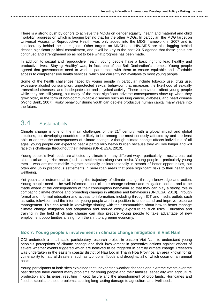There is a strong push by donors to achieve the MDGs on gender equality, health and maternal and child mortality, progress on which is lagging behind that for the other MDGs. In particular, the MDG target on Universal Access to Reproductive Health, was only added into the MDG framework in 2007 and is considerably behind the other goals. Other targets on MNCH and HIV/AIDS are also lagging behind despite significant political commitment, and it will be key to the post-2015 agenda that these goals are continued and strengthened so as not to lose what progress has been made.

In addition to sexual and reproductive health, young people have a basic right to lead healthy and productive lives. 'Staying Healthy' was, in fact, one of the Bali Declaration's themes. Young people agreed that governments need to work in partnership with them to ensure equitable and affordable access to comprehensive health services, which are currently not available to most young people.

Some of the health challenges faced by young people in particular include tobacco use, drug use, excessive alcohol consumption, unprotected sexual behaviour that increases the likelihood of sexually transmitted diseases, and inadequate diet and physical activity. These behaviours affect young people while they are still young, but many of the most significant adverse consequences show up when they grow older, in the form of non-communicable diseases such as lung cancer, diabetes, and heart disease (World Bank, 2007). Risky behaviour during youth can deplete productive human capital many years into the future.

## 3.4 Sustainability

Climate change is one of the main challenges of the  $21<sup>st</sup>$  century, with a global impact and global solutions, but developing countries are likely to be among the most seriously affected by and the least able to address the consequences of climate change. Although climate change affects individuals of all ages, young people can expect to bear a particularly heavy burden because they will live longer and will face this challenge throughout their lifetimes (UN-DESA, 2010).

Young people's livelihoods are affected by climate in many different ways, particularly in rural areas, but also in urban high-risk areas (such as settlements along river beds). Young people – particularly young men – who are more mobile migrate nationally or internationally in search of better opportunities, but often end up in precarious settlements in peri-urban areas that pose significant risks to their health and wellbeing.

Yet youth are instrumental to altering the trajectory of climate change through knowledge and action. Young people need to be well-informed about climate change science and mitigation options and to be made aware of the consequences of their consumption behaviour so that they can play a strong role in combating climate change and promoting changes in attitudes and behaviours (UNDESA, 2010).Through formal and informal education and access to information, including through ICT and media outlets such as radio, television and the internet, young people are in a position to understand and improve resource management. This can result in knowledge-sharing with their communities about how to better manage climate change mitigation and adaptation and reduce costly exposure to such risks. Education and training in the field of climate change can also prepare young people to take advantage of new employment opportunities arising from the shift to a greener economy.

## **Box 7: Young people's involvement in climate change mitigation in Viet Nam**

ODI undertook a small scale participatory research project in eastern Viet Nam to understand young people's perceptions of climate change and their involvement in preventive actions against effects of severe whether events triggered which are believed to be triggered in part by climate change. Research was undertaken in the eastern coastal district of Hau Loc in Thanh Hoa Province, an area known for its vulnerability to natural disasters, such as typhoons, floods and droughts, all of which occur on an annual basis.

Young participants at both sites explained that unexpected weather changes and extreme events over the past decade have caused many problems for young people and their families, especially with agriculture production and fisheries, resulting in crop failure and the abandonment of crop lands. Hurricanes and floods exacerbate these problems, causing long-lasting damage to agriculture and livelihoods.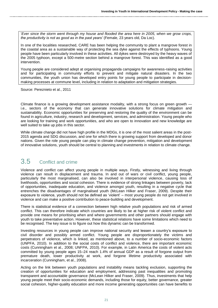'*Ever since the storm went through my house and flooded the area here in 2005, when we grow crops, the productivity is not as good as in the past years'* (Female, 23 years old, Da Loc).

In one of the localities researched, CARE has been helping the community to plant a mangrove forest in the coastal area as a sustainable way of protecting the sea dyke against the effects of typhoons. Young people have been particularly involved in these activities. All dykes were destroyed by the heavy waves of the 2005 typhoon, except a 500-metre section behind a mangrove forest. This was identified as a good intervention.

Young people are considered adept at organising propaganda campaigns for awareness-raising activities and for participating in community efforts to prevent and mitigate natural disasters. In the two communities, the youth union has developed entry points for young people to participate in decisionmaking processes at commune level, including in relation to adaptation and mitigation strategies.

Source: Pereznieto et al., 2011

Climate finance is a growing development assistance modality, with a strong focus on green growth i.e., sectors of the economy that can generate innovative solutions for climate mitigation and sustainability. Economic opportunities for preserving and restoring the quality of the environment can be found in agriculture, industry, research and development, services, and administration. Young people who are looking for training and work opportunities, and who are open to innovation and new knowledge are well suited to take up jobs in this sector.

While climate change did not have high profile in the MDGs, it is one of the most salient areas in the post-2015 agenda and SDG discussion, and one for which there is growing support from developed and donor nations. Given the role young people can play in climate change prevention, mitigation and development of innovative solutions, youth should be central to planning and investments in relation to climate change.

## 3.5 Conflict and crime

Violence and conflict can affect young people in multiple ways. Firstly, witnessing and living through violence can result in displacement and trauma. In and out of wars or civil conflict, young people, particularly the most marginalised, can also be involved in interpersonal violence, causing loss of livelihoods, opportunities and social cohesion. There is evidence of strong linkages between poverty, lack of opportunities, inadequate education, and violence amongst youth, resulting in a negative cycle that entrenches the disadvantages of marginalised youth (McLean Hilker and Fraser, 2009). Despite their exposure to violence, youth should not be defined as 'violent' – most young people do not get involved in violence and can make a positive contribution to peace-building and development.

There is statistical evidence of a connection between high relative youth populations and risk of armed conflict. This can therefore indicate which countries are likely to be at higher risk of violent conflict and provide one means for prioritising when and where governments and other partners should engage with youth to take preventative action. However, these statistical relations have some limitations which need to be recognised. The key issue is to figure out how this dynamic can be transformed.

Investing resources in young people can improve national security and lessen a country's exposure to civil disorder and possibly armed conflict. Young people are disproportionately the victims and perpetrators of violence, which is linked, as mentioned above, to a number of socio-economic factors (UNPFA, 2010). In addition to the social costs of conflict and violence, there are important economic costs (Cunningham et al., 2008; UNFPA, 2010). For example, in Latin America the costs of violent acts committed by young people ages 15–24 reach 1.4% of annual GDP as a result of forgone output from premature death, lower productivity at work, and forgone lifetime productivity associated with incarceration (Cunningham, et al., 2008).

Acting on the link between youth populations and instability means tackling exclusion, supporting the creation of opportunities for education and employment, addressing past inequalities and promoting transparent and accountable governance (McLean Hilker and Fraser, 2009). Thus, investments that help young people meet their socio-economic demands, including those for equity, better governance, greater social cohesion, higher-quality education and more income generating opportunities can have benefits to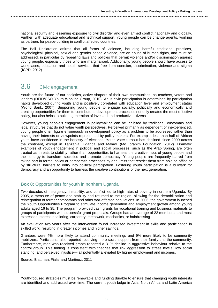national security and lessening exposure to civil disorder and even armed conflict nationally and globally. Further, with adequate educational and technical support, young people can be change agents, working as partners for peace-building in conflict affected countries.

The Bali Declaration affirms that all forms of violence, including harmful traditional practices, psychological, physical, sexual and gender-based violence, are an abuse of human rights, and must be addressed, in particular by repealing laws and policies that permit violence and/or discrimination against young people, especially those who are marginalised. Additionally, young people should have access to workplaces, education and health services that free from coercion, discrimination, violence and stigma (ICPD, 2012).

## 3.6 Civic engagement

Youth are the future of our societies, active shapers of their own communities, as teachers, voters and leaders (DFID/CSO Youth Working Group, 2010). Adult civic participation is determined by participation habits developed during youth and is positively correlated with education level and employment status (World Bank, 2007). Supporting young people to engage socially, politically and economically and creating opportunities for them to contribute to development processes not only creates the most effective policy, but also helps to build a generation of invested and productive citizens.

However, young people's engagement in policymaking can be inhibited by traditional, customary and legal structures that do not value youth perspectives. Perceived primarily as dependent or inexperienced, young people often figure erroneously in development policy as a problem to be addressed rather than having their interests or viewpoints represented by policy makers. For example, less than half of African youth have confidence in the honesty of elections. Youth voter turnout has declined since 2000 across the continent, except in Tanzania, Uganda and Malawi (Mo Ibrahim Foundation, 2012). Dramatic examples of youth engagement in political and social processes, such as the Arab Spring, are often treated as threats to stability rather than opportunities to harness the creative input of young people and their energy to transform societies and promote democracy. Young people are frequently barred from taking part in formal policy or democratic processes by age limits that restrict them from holding office or by structural barriers to entry into political participation. Fostering youth participation is a bulwark for democracy and an opportunity to harness the creative contributions of the next generation.

## **Box 8:** Opportunities for youth in northern Uganda

Two decades of insurgency, instability, and conflict led to high rates of poverty in northern Uganda. By 2005, a measure of peace and stability had returned to the region, allowing for the demobilization and reintegration of former combatants and other war-affected populations. In 2006, the government launched the Youth Opportunities Program to stimulate income generation and employment growth among young adults aged 16 to 35. The program provided cash grants for vocational training and business materials to groups of participants with successful grant proposals. Groups had an average of 22 members, and most expressed interest in tailoring, carpentry, metalwork, mechanics, or hairdressing.

An evaluation two years after the intervention found increased investment in skills and participation in skilled work, resulting in greater incomes and higher savings.

Grantees were 4% more likely to attend community meetings and 9% more likely to be community mobilizers. Participants also reported receiving more social support from their family and the community. Furthermore, men who received grants reported a 31% decline in aggressive behaviour relative to the control group. This finding is consistent with theories that link aggression to stress levels, low social standing, and perceived injustice— all potentially alleviated by higher employment and incomes.

Source: Blattman, Fiala, and Martinez, 2011

Youth-focused strategies must be renewable and funding durable to ensure that changing youth interests are identified and addressed over time. The current youth bulge in Asia, North Africa and Latin America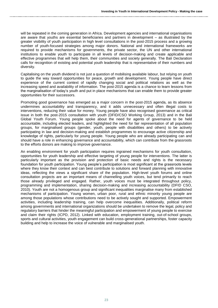will be repeated in the coming generation in Africa. Development agencies and international organisations are aware that youths are essential beneficiaries and partners in development – as illustrated by the greater visibility of youth participation in high level consultations in the post-2015 process and a growing number of youth-focused strategies among major donors. National and international frameworks are required to provide mechanisms for governments, the private sector, the UN and other international institutions to enable youth to participate in all levels of decision-making and create applicable and effective programmes that will help them, their communities and society generally. The Bali Declaration calls for recognition of existing and potential youth leadership that is representative of their numbers and diversity.

Capitalising on the youth dividend is not just a question of mobilising available labour, but relying on youth to guide the way toward opportunities for peace, growth and development. Young people have direct experience of the current context of rapidly changing social and political relations as well as the increasing speed and availability of information. The post-2015 agenda is a chance to learn lessons from the marginalisation of today's youth and put in place mechanisms that can enable them to provide greater opportunities for their successors.

Promoting good governance has emerged as a major concern in the post-2015 agenda, as its absence undermines accountability and transparency, and it adds unnecessary and often illegal costs to interventions, reducing their value for money. Young people have also recognised governance as critical issue in both the post-2015 consultation with youth (DFID/CSO Working Group, 2013) and in the Bali Global Youth Forum. Young people spoke about the need for agents of governance to be held accountable, including elected leaders, and highlighted the need for fair representation of all population groups, for marginalised groups (gender, youth, people with disabilities and others) to be actively participating in law and decision-making and establish programmes to encourage active citizenship and knowledge of rights, particularly for young people. Young people who are already participating can and should have a role in enhancing governance and accountability, which can contribute from the grassroots to the efforts donors are making to improve governance.

An enabling environment for youth participation requires ingrained mechanisms for youth consultation, opportunities for youth leadership and effective targeting of young people for interventions. The latter is particularly important as the provision and protection of basic needs and rights is the necessary foundation for youth participation. Young people's participation is most significant at the grassroots levels where they know their context and can best contribute to solutions and forward planning with innovative ideas, reflecting the views a significant share of the population. High-level youth forums and online consultation projects are an important means of channelling youth voices, but tend primarily to reach those already privileged and engaged. Rather, youth voices must be integrated throughout policy, programming and implementation, sharing decision-making and increasing accountability (DFID CSO, 2010). Youth are not a homogenous group and significant inequalities marginalise many from established mechanisms of participation. Young women, urban poor, rural and ethnic minority young people are among those populations whose contributions need to be actively sought and supported. Empowerment activities, including leadership training, can help overcome inequalities. Additionally, political reform among governments and international organizations should be undertaken to remove the legal, policy and regulatory barriers that hinder the meaningful participation and empowerment of young people to exercise and claim their rights (ICPD, 2012). Linked with education, employment training, out-of-school groups, sports and cultural activities, youth engagement can build cross-generational partnerships, foster capacity building and help to increase the voice of vulnerable and marginalised youth.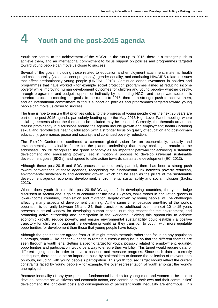# **4 Youth and the post-2015 agenda**

Youth are central to the achievement of the MDGs. In the run-up to 2015, there is a stronger push to achieve them, and an international commitment to focus support on policies and programmes targeted toward young people can move us closer to success.

Several of the goals, including those related to education and employment attainment, maternal health and child mortality (via adolescent pregnancy), gender equality, and combating HIV/AIDS relate to issues that affect predominantly young people (UNFPA, 2010). Continued donor investment in policies and programmes that have worked - for example social protection programmes aimed at reducing income poverty while improving human development outcomes for children and young people– whether directly, through programme and budget support, or indirectly by supporting NGOs and the private sector – is therefore crucial to meeting the goals. In the run-up to 2015, there is a stronger push to achieve them, and an international commitment to focus support on policies and programmes targeted toward young people can move us closer to success.

The time is ripe to ensure that priorities critical to the progress of young people over the next 20 years are part of the post-2015 agenda, particularly leading up to the May 2013 High Level Panel meeting, where initial agreements about the themes to be included may be reached. Currently, the thematic areas that feature prominently in discussions around the agenda include growth and employment; health (including sexual and reproductive health); education (with a stronger focus on quality of education and post-primary education); governance; peace and security; and continued poverty reduction.

The Rio+20 Conference confirmed a common global vision for an economically, socially and environmentally sustainable future for the planet, underlining that many challenges remain to be addressed. Rio+20 recognised the green economy as an important pathway for achieving sustainable development and eradicating poverty; set in motion a process to develop universal sustainable development goals (SDGs); and agreed to take action towards sustainable development (EC, 2013).

Although these post-2015 and SDG processes are currently parallel, there has been a strong push toward convergence of these agendas, recognising the fundamental link between poverty reduction, environmental sustainability and economic growth, which can be seen as the pillars of the sustainable development agenda: economic development, environmental sustainability and social inclusion (Sachs, 2012).

Where does youth fit into this post-2015/SDG agenda? in developing countries, the youth bulge discussed in section one is going to continue for the next 15 years, while trends in population growth in lower-income countries, urbanisation and migration, largely driven by young people, will be challenges affecting many aspects of development planning. At the same time, because one-third of the world's population is currently between 15 and 24, their transition to adulthood over the next 10 to 15 years presents a critical window for developing human capital, nurturing respect for the environment, and promoting active citizenship and participation in the workforce. Seizing this opportunity to achieve economic growth, reduce poverty, and ensure environmental sustainability could establish a positive trajectory for children throughout the developing world as they transition to youth, with more equitable opportunities for development than those that young people have today.

Although the goals that are agreed from 2015 might remain thematic rather than focus on any population subgroups, youth – like gender – needs to remain a cross-cutting issue so that the different themes are seen through a youth lens. Setting a specific target for youth, possibly related to employment, equality, opportunities and participation, would be a way to ensure their visibility. This target would require data for different age groups in order to have a baseline and measure progress. Since such data is currently inadequate, there should be an important push by stakeholders to finance the collection of relevant data on youth, including with young people's participation. This youth focused target should reflect the current constraints faced by young people – for example, the over representation of youth amongst the world's unemployed.

Because inequality of any type presents fundamental barriers for young men and women to be able to develop, become active citizens and economic actors, and contribute to their own and their communities' development, the long-term costs and consequences of persistent youth inequality are enormous. This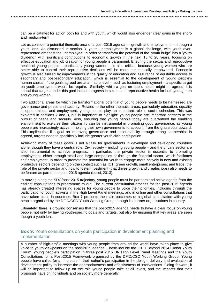can be a catalyst for action both for and with youth, which would also engender clear gains in the shortand medium-term.

Let us consider a potential thematic area of a post-2015 agenda — growth and employment — through a youth lens. As discussed in section 3, youth unemployment is a global challenge, with youth overrepresented amongst the unemployed. In order to transform the potential of the 'youth bulge' into a 'youth dividend,' with significant contributions to economic growth in the next 15 to 20 years, focusing on effective education and job creation for young people is paramount. Ensuring the sexual and reproductive health of young people – particularly young women – is also critical, because young women who are better able to control their reproductive decisions will be more economically empowered. Economic growth is also fuelled by improvements in the quality of education and assurance of equitable access to secondary and post-secondary education, which is essential to the development of young people's human capital. If the goals agreed are at a macro level – such as fostering employment – a specific target on youth employment would be require. Similarly, while a goal on public health might be agreed, it is critical that targets under this goal include progress in sexual and reproductive health for both young men and young women.

Two additional areas for which the transformational potential of young people needs to be harnessed are governance and peace and security. Related to the other thematic areas, particularly education, equality in opportunities, and employment, young people play an important role in social cohesion. This was explored in sections 2 and 3, but is important to highlight: young people are important partners in the pursuit of peace and security. Also, ensuring that young people today are guaranteed the enabling environment to exercise their citizenship can be instrumental in promoting good governance, as young people are increasingly active in holding their own governments to account, from the grassroots upward. This implies that if a goal on improving governance and accountability through strong partnerships is agreed, targets need to specifically include greater youth civic participation.

Achieving many of these goals is not a task for governments in developed and developing countries alone, though they have a central role. Civil society – including young people – and the private sector are also instrumental to achieve progress. In particular, the private sector is essential to promoting employment, either through small and large companies or through the financial sector, which facilitates self-employment. In order to promote the potential for youth to engage more actively in new and existing productive sectors depending on the context such as ICT, green growth, small enterprises, and trade, the role of the private sector and how to foster investment (that drives growth and creates jobs) also needs to be feature as part of the post-2015 agenda (Lucci, 2013).

In moving along the SDG/post-2015 trajectory, young people must be partners and active agents from the earliest consultations to programme rollout. The current consultation process for the post-2015 agenda has already created interesting spaces for young people to voice their priorities, including through the participation of youth activists in the High Level Panel meetings, and in online and other consultations that have taken place in countries. Box 7 presents the main outcomes of a global consultation with young people organised by the DFID/CSO Youth Working Group through its partner organisations in country.

Ultimately, there is growing consensus that the post-2015 agenda needs to have a clear focus on young people, not only by having youth-specific goals and targets, but also by ensuring that key areas are seen though a youth lens.

## **Box 9:** Youth consultations on youth participation in development planning and implementation

A number of high-profile meetings with young people from around the world have taken place to give voice to youth viewpoints on the post-2015 agenda. These include the ICPD Beyond 2014 Global Youth Forum, young people's participation in three post 2015 UN High Level Panel Meetings and the Youth Consultations for a Post-2015 Framework organised by the DFID/CSO Youth Working Group. Young people have called for an increase in their cohort's participation in the design, delivery and evaluation of development policy to increase the appropriateness and effectiveness of interventions. Going forward, it will be important to follow up on the role young people take at all levels, and the impacts that their proposals have on individuals and on society more generally.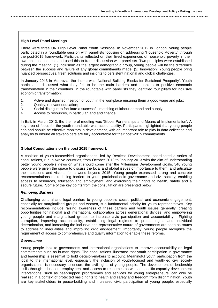### **High Level Panel Meetings**

There were three UN High Level Panel Youth Sessions. In November 2012 in London, young people participated in a roundtable session with panellists focusing on addressing 'Household Poverty' through the post-2015 framework. Participants reflected on their lived experiences of household poverty in their own national contexts and used this to frame discussion with panellists. Two principles were established during the meeting: (1) Inclusion: as the largest demographic group, young people will be the difference between the success and failure of any global commitments made; (2) Innovation: Young people bring nuanced perspectives, fresh solutions and insights to persistent national and global challenges.

In January 2013 in Monrovia, the theme was 'National Building Blocks for Sustained Prosperity'. Youth participants discussed what they felt to be the main barriers and enablers to positive economic transformation in their countries. In the roundtable with panellists they identified four pillars for inclusive economic transformation:

- 1. Active and dignified insertion of youth in the workplace ensuring them a good wage and jobs;
- 2. Quality, relevant education;
- 3. Social dialogue to facilitate a successful matching of labour demand and supply;
- 4. Access to resources, in particular land and finance.

In Bali, in March 2013, the theme of meeting was 'Global Partnerships and Means of Implementation'. A key area of focus for the youth roundtable was accountability. Participants highlighted that young people can and should be effective monitors in development, with an important role to play in data collection and analysis to ensure all stakeholders are fully accountable for their post-2015 commitments.

### **Global Consultations on the post 2015 framework**

A coalition of youth-focused/led organisations, led by Restless Development, coordinated a series of consultations, run in twelve countries, from October 2012 to January 2013 with the aim of understanding better young people's views on what should come after the Millennium Development Goals. 346 young people were given the space to discuss the local and global issues of importance to them, and articulate their solutions and visions for a world beyond 2015. Young people expressed strong and concrete recommendations for reducing barriers to youth participation in governance and civil society; enabling access to resources, education and employment; and exercising their rights to health, safety and a secure future. Some of the key points from the consultation are presented below.

#### *Removing Barriers*

Challenging cultural and legal barriers to young people's social, political and economic engagement, especially for marginalised groups and women, is a fundamental priority for youth representatives. Key recommendations include raising awareness of these barriers and youth issues generally, creating opportunities for national and international collaboration across generational divides, and empowering young people and marginalised groups to increase civic participation and accountability. Fighting corruption, improving accountability, establishing legal regimes to protect rights and individual determination, and increasing the inclusive and representative nature of governments are seen as routes to addressing inequalities and improving civic engagement. Importantly, young people recognize the requirement of access to comprehensive and quality information to enable these reforms.

#### *Governance*

Young people look to governments and international organisations to improve accountability on legal commitments such as human rights. The consultations illustrated that youth participation in governance and leadership is essential to hold decision-makers to account. Meaningful youth participation from the local to the international level, especially the inclusion of youth-focused and youth-led civil society organisations, is necessary to ensure the civil rights of young people. The development of leadership skills through education, employment and access to resources as well as specific capacity development interventions, such as peer-support programmes and services for young entrepreneurs, can only be realised in a context of protected basic rights to health and safety and freedom from discrimination. Youth are key stakeholders in peace-building and increased civic participation of young people, especially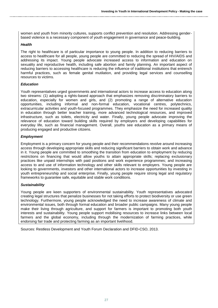women and youth from minority cultures, supports conflict prevention and resolution. Addressing genderbased violence is a necessary component of youth engagement in governance and peace-building.

### *Health*

The right to healthcare is of particular importance to young people. In addition to reducing barriers to access to healthcare for all people, young people are committed to reducing the spread of HIV/AIDS and addressing its impact. Young people advocate increased access to information and education on sexuality and reproductive health, including safe abortion and family planning. An important aspect of reducing barriers to accessing healthcare is reducing the influence of traditional institutions that entrench harmful practices, such as female genital mutilation, and providing legal services and counselling resources to victims.

### *Education*

Youth representatives urged governments and international actors to increase access to education along two streams: (1) adopting a rights-based approach that emphasizes removing discriminatory barriers to education, especially for women and girls, and (2) promoting a range of alternative education opportunities, including informal and non-formal education, vocational centres, polytechnics, extracurricular activities and youth-focused programmes. They emphasize the need for increased quality in education through better teacher training, more advanced technological resources, and improved infrastructure, such as toilets, electricity and water. Finally, young people advocate improving the relevance of education toward building skills required by employers and developing capabilities for everyday life, such as financial management. Overall, youths see education as a primary means of producing engaged and productive citizens.

## *Employment*

Employment is a primary concern for young people and their recommendations revolve around increasing access through developing appropriate skills and reducing significant barriers to obtain work and advance in it. Young people are committed to smoothing the transition from education to employment by reducing restrictions on financing that would allow youths to attain appropriate skills; replacing exclusionary practices like unpaid internships with paid positions and work experience programmes; and increasing access to and use of information technology and other skills relevant to employers. Young people are looking to governments, investors and other international actors to increase opportunities by investing in youth entrepreneurship and social enterprise. Finally, young people require strong legal and regulatory frameworks to guarantee safe, equitable and stable work conditions.

## *Sustainability*

Young people are keen supporters of environmental sustainability. Youth representatives advocated creating legal structures that penalize businesses for not taking efforts to protect biodiversity or use green technology. Furthermore, young people acknowledged the need to increase awareness of climate and environmental issues, both through formal education and broader public campaigns. Many young people make their living through agriculture, and support for farmers is important to promoting both youth interests and sustainability. Young people support mobilising resources to increase links between local farmers and the global economy, including through the modernization of farming practices, while endorsing fair trade and protecting farming as an important livelihood.

Sources: Restless Development and Youth Forum Declaration and DFID-CSO, 2013.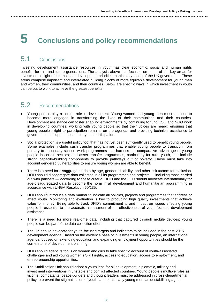# **5 Conclusions and policy recommendations**

## 5.1 Conclusions

Investing development assistance resources in youth has clear economic, social and human rights benefits for this and future generations. The analysis above has focused on some of the key areas for investment in light of international development priorities, particularly those of the UK government. These areas comprise important and interrelated building blocks of more equitable development for young men and women, their communities, and their countries. Below are specific ways in which investment in youth can be put to work to achieve the greatest benefits.

## 5.2 Recommendations

- Young people play a central role in development. Young women and young men must continue to become more engaged in transforming the lives of their communities and their countries. Development assistance can foster enabling environments by continuing to fund CSO and NGO work in developing countries; working with young people so that their voices are heard; ensuring that young people's right to participation remains on the agenda; and providing technical assistance to governments to support spaces for youth participation.
- Social protection is a useful policy tool that has not yet been sufficiently used to benefit young people. Some examples include cash transfer programmes that enable young people to transition from primary to secondary school; work programmes that harness the comparative advantage of young people in certain sectors; and asset transfer programmes, particularly for rural youth, that include strong capacity-building components to provide pathways out of poverty. These must take into account gendered vulnerabilities to ensure young women are able to benefit.
- There is a need for disaggregated data by age, gender, disability, and other risk factors for exclusion. DFID should disaggregate data collected in all its programmes and projects — including those carried out with partners — according to these criteria. DFID and the FCO should advocate internationally for age-disaggregated data to become the norm in all development and humanitarian programming in accordance with UNGA Resolution 60/135.
- DFID should introduce a data marker to indicate all policies, projects and programmes that address or affect youth. Monitoring and evaluation is key to producing high quality investments that achieve value for money. Being able to track DFID's commitment to and impact on issues affecting young people is essential to the accurate assessment of the effectiveness of youth-focused development assistance.
- There is a need for more real-time data, including that captured through mobile devices; young people can be part of the data collection effort.
- The UK should advocate for youth-focused targets and indicators to be included in the post-2015 development agenda. Based on the evidence base of investments in young people, an international agenda focused on extending education and expanding employment opportunities should be the cornerstone of development planning.
- DFID should adapt its focus on women and girls to take specific account of youth-associated challenges and aid young women's SRH rights, access to education, access to employment, and entrepreneurship opportunities.
- The Stabilisation Unit should adopt a youth lens for all development, diplomatic, military and investment interventions in unstable and conflict affected countries. Young people's multiple roles as victims, combatants, peace-builders and thought leaders must be addressed in cross-departmental policy to prevent the stigmatisation of youth, and particularly young men, as destabilising agents.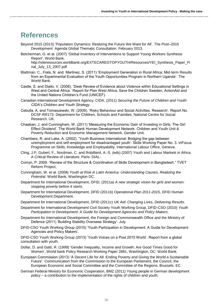## **References**

- Beyond 2015 (2013) 'Population Dynamics: Realizing the Future We Want for All'. The Post–2015 Development Agenda Global Thematic Consultation. February 2013.
- Betcherman, G. et al. (2007) 'Global Inventory of Interventions to Support Young Workers Synthesis Report', World Bank.

http://siteresources.worldbank.org/EXTECAREGTOPYOUTH/Resources/YEI\_Synthesis\_Paper\_Fi nal\_July\_13\_2007.pdf

- Blattman, C., Fiala, N. and Martinez, S. (2011) 'Employment Generation in Rural Africa: Mid-term Results from an Experimental Evaluation of the Youth Opportunities Program in Northern Uganda'. The World Bank.
- Castle, S. and Diallo, V. (2008). 'Desk Review of Evidence about Violence within Educational Settings in West and Central Africa.' Report for Plan West Africa, Save the Children Sweden, ActionAid and the United Nations Children's Fund (UNICEF).
- Canadian International Development Agency, CIDA, (2011) *Securing the Future of Children and Youth: CIDA's Children and Youth Strategy*.
- Cebulla, A. and Tomaszewski, W. (2009). 'Risky Behaviour and Social Activities. Research'. Report No. DCSF-RR173. Department for Children, Schools and Families. National Centre for Social Research. UK.
- Chaaban, J. and Cunningham, W. (2011) 'Measuring the Economic Gain of Investing in Girls: The Girl Effect Dividend'. The World Bank Human Development Network. Children and Youth Unit & Poverty Reduction and Economic Management Network. Gender Unit.
- Chambers, R. and Lake, A. (2002). 'Youth Business International: Bridging the gap between unemployment and self-employment for disadvantaged youth'. Skills Working Paper No. 3. InFocus Programme on Skills, Knowledge and Employability. International Labour Office. Geneva.
- Cling, J.P, Gubert, F., Nordman, C. and Robilliard, A.-S. (eds) (2007) Youth and Labour Markets in Africa. A Critical Review of Literature. Paris: DIAL.
- Comyn, P. 2009. "Review of the Structure & Coordination of Skills Development in Bangladesh." TVET Reform Project.
- Cunningham, W. et al. (2008) *Youth at Risk in Latin America: Understanding Causes, Realizing the Potential*. World Bank, Washington DC.
- Department for International Development, DFID, (2011a) *A new strategic vision for girls and women: stopping poverty before it starts*.
- Department for International Development, DFID (2011b) *Operational Plan 2011-2015*, DFID Human Development Department.
- Department for International Development, DFID (2011c) *UK Aid: Changing Lives, Delivering Results*.
- Department for International Development Civil Society Youth Working Group, DFID-CSO (2010) *Youth Participation in Development: A Guide for Development Agencies and Policy Makers*.
- Department for International Development, the Foreign and Commonwealth Office and the Ministry of Defence (2011) 'Building Stability Overseas Strategy'. July.
- DFID-CSO Youth Working Group (2010) 'Youth Participation in Development: A Guide for Development Agencies and Policy Makers'.

DFID-CSO Youth Working Group (2013) 'Youth Voices on a Post 2015 World'. Report from a global consultation with youth.

- Dollar, D. and Gatti, R. (1999) 'Gender Inequality, Income and Growth: Are Good Times Good for Women', World bank Policy Research Working Paper 2881, Washington, DC: World Bank.
- European Commission (2013) 'A Decent Life for All: Ending Poverty and Giving the World a Sustainable Future'. Communication from the Commission to the European Parliament, the Council, the European Economic and Social Committee and the Committee of the Regions. Brussels: EC
- German Federal Ministry for Economic Cooperation, BMZ (2011) Young people in German development policy – a contribution to the implementation of the rights of children and youth.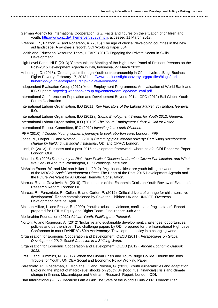- German Agency for International Cooperation, GIZ, Facts and figures on the situation of children and youth, [http://www.giz.de/Themen/en/26367.htm,](http://www.giz.de/Themen/en/26367.htm) accessed 11 March 2013.
- Greenhill, R., Prizzon, A. and Rogerson, A. (2013) 'The age of choice: developing countries in the new aid landscape. A synthesis report'. ODI Working Paper 364.
- Health and Education Resource Team, HEART (2013) Engaging the Private Sector in Skills Development.
- High Level Panel, HLP (2013) 'Communiqué: Meeting of the High-Level Panel of Eminent Persons on the Post-2015 Development Agenda in Bali, Indonesia, 27 March 2013'
- Hribernigg, D. (2013). 'Creating Jobs through Youth entrepreneurship in Côte d'Ivoire'. .Blog. Business Fights Poverty. February 17, 2013 [http://www.businessfightspoverty.org/profiles/blogs/doris](http://www.businessfightspoverty.org/profiles/blogs/doris-hribernigg-youth-entrepreneurship-in-c-te-d-ivoire-the)[hribernigg-youth-entrepreneurship-in-c-te-d-ivoire-the](http://www.businessfightspoverty.org/profiles/blogs/doris-hribernigg-youth-entrepreneurship-in-c-te-d-ivoire-the)
- Independent Evaluation Group (2012) Youth Employment Programmes: An evaluation of World Bank and IFC Support. [http://ieg.worldbankgroup.org/content/dam/ieg/ye/ye\\_eval.pdf](http://ieg.worldbankgroup.org/content/dam/ieg/ye/ye_eval.pdf)
- International Conference on Population and Development Beyond 2014, ICPD (2012) Bali Global Youth Forum Declaration.
- International Labour Organisation, ILO (2011) *Key Indicators of the Labour Market*, 7th Edition. Geneva: ILO.
- International Labour Organisation, ILO (2012a) *Global Employment Trends for Youth 2012*. Geneva.
- International Labour Organisation, ILO (2012b) *The Youth Employment Crisis: A Call for Action*.
- International Rescue Committee, IRC (2012) *Investing in a Youth Dividend*.
- IPPF (2010). *I Decide: Young women's journeys to seek abortion care.* London: IPPF
- Jones, N., Harper, C. and Watson, C. (2010) *Stemming girls' chronic poverty: Catalysing development change by building just social institutions*. ODI and CPRC: London.
- Lucci, P. (2013). 'Business and a post-2015 development framework: where next?'. ODI Research Paper. London: ODI.
- Macedo, S. (2005) *Democracy at Risk: How Political Choices Undermine Citizen Participation, and What We Can Do About It*. Washington, DC: Brookings Institution.
- McAslan Fraser, W. and McLean Hilker, L. (2012). 'Age inequalities: are youth falling between the cracks of the MDGs?' *Social Development Direct*. The Heart of the Post-2015 Development Agenda and the Future We Want for All Global Thematic Consultation.
- Marcus, R. and Gavrilovic, M. (2010). 'The Impacts of the Economic Crisis on Youth Review of Evidence'. Research Report. London: ODI
- Marcus, R., Pereznieto, P., Cullen, E. and Carter, P. (2012) 'Critical drivers of change for child-sensitive development'. Report commissioned by Save the Children UK and UNICEF. Overseas Development Institute. April.
- McLean Hilker, L. and Fraser, E. (2009). 'Youth exclusion, violence, conflict and fragile states'. Report prepared for DFID's Equity and Rights Team. Final report: 30th April.
- Mo Ibrahim Foundation (2012) *African Youth: Fulfilling the Potential*.
- Norton, A. and Rogerson, A. (2012) 'Inclusive and sustainable development: challenges, opportunities, policies and partnerships'. Two challenge papers by ODI, prepared for the International High Level Conference to mark DANIDA's 50th Anniversary: 'Development policy in a changing world'.
- Organisation for Economic Cooperation and Development, OECD (2011). *Perspectives on Global Development 2012: Social Cohesion in a Shifting World*.
- Organisation for Economic Cooperation and Development, OECD (2012). *African Economic Outlook 2012*.
- Ortiz, I. and Cummins, M. (2012) 'When the Global Crisis and Youth Bulge Collide: Double the Jobs Trouble for Youth'. UNICEF Social and Economic Policy Working Paper
- Pereznieto, P., Gbedemah, C. Monjane, C. and Roesen, G. (2011). Youth vulnerabilities and adaptation: Exploring the impact of macro-level shocks on youth: 3F (food, fuel, financial) crisis and climate change in Ghana, Mozambique and Vietnam. Research Report. London: ODI.
- Plan International (2007). Because I am a Girl: The State of the World's Girls 2007. London: Plan.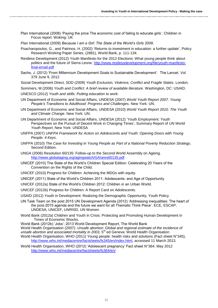Plan International (2008) 'Paying the price The economic cost of failing to educate girls'. Children in Focus report. Woking: UK

Plan International (2009) *Because I am a Girl: The State of the World's Girls 2009*.

- Psacharopoulos, G., and Patrinos, H. (2002) 'Returns to investment in education: a further update', Policy Research Working Paper Series, (2881), World Bank, p. 111-134.
- Restless Development (2012) Youth Manifesto for the 2012 Elections: What young people think about politics and the future of Sierra Leone. [http://www.restlessdevelopment.org/file/youth-manifesto](http://www.restlessdevelopment.org/file/youth-manifesto-final-email-pdf)[final-email-pdf](http://www.restlessdevelopment.org/file/youth-manifesto-final-email-pdf)
- Sachs, J. (2012) 'From Millennium Development Goals to Sustainable Development'. The Lancet. Vol 379 June 9, 2012
- Social Development Direct, SDD (2009) *Youth Exclusion, Violence, Conflict and Fragile States*. London.
- Sommers, M (2006) *Youth and Conflict: A brief review of available literature*. Washington, DC: USAID. UNESCO (2012) *Youth and skills: Putting education to work*.
- UN Department of Economic and Social Affairs, UNDESA (2007) *World Youth Report 2007. Young People's Transitions to Adulthood: Progress and Challenges*. New York: UN.
- UN Department of Economic and Social Affairs, UNDESA (2010) *World Youth Report 2010. The Youth and Climate Change*. New York: UN.
- UN Department of Economic and Social Affairs, UNDESA (2012) 'Youth Employment: Youth Perspectives on the Pursuit of Decent Work in Changing Times', Summary Report of *UN World Youth Report*, New York: UNDESA
- UNFPA (2007) *UNFPA Framework for Action on Adolescents and Youth: Opening Doors with Young People: 4 Keys*.
- UNFPA (2010) *The Case for Investing in Young People as Part of a National Poverty Reduction Strategy*, Second Edition.
- UNGA (2006) Resolution 60/135: Follow-up to the Second World Assembly on Ageing. <http://www.globalaging.org/agingwatch/GA/ares60135.pdf>
- UNICEF (2010) The State of the World's Children Special Edition: Celebrating 20 Years of the Convention on the Rights of the Child.
- UNICEF (2010) Progress for Children: Achieving the MDGs with equity.
- UNICEF (2011) State of the World's Children 2011: Adolescents: and Age of Opportunity
- UNICEF (2012a) State of the World's Children 2012: Children in an Urban World.
- UNICEF (2012b) Progress for Children: A Report Card on Adolescents.
- USAID (2012) Youth in Development: Realizing the Demographic Opportunity, Youth Policy.
- UN Task Team on the post 2015 UN Development Agenda (2012) 'Addressing inequalities: The heart of the post-2015 agenda and the future we want for all Thematic Think Piece'. ECE, ESCAP, UNDESA, UNICEF, UNRISD, UN Women
- World Bank (2012a) Children and Youth in Crisis: Protecting and Promoting Human Development in Times of Economic Shocks.
- World Bank (2012b) 'Jobs'; 2013 World Development Report, The World Bank
- World Health Organisation (2007). *Unsafe abortion: Global and regional estimate of the incidence of*  unsafe abortion and associated mortality in 2003, 5<sup>th</sup> ed Geneva: World Health Organisation World Health Organisation, WHO (2011) Young people: health risks and solutions (Fact sheet N°345), [http://www.who.int/mediacentre/factsheets/fs345/en/index.html,](http://www.who.int/mediacentre/factsheets/fs345/en/index.html) accessed 11 March 2013.
- World Health Organisation, WHO (2012) 'Adolescent pregnancy' Fact sheet N°364. May 2012 <http://www.who.int/mediacentre/factsheets/fs364/en/>